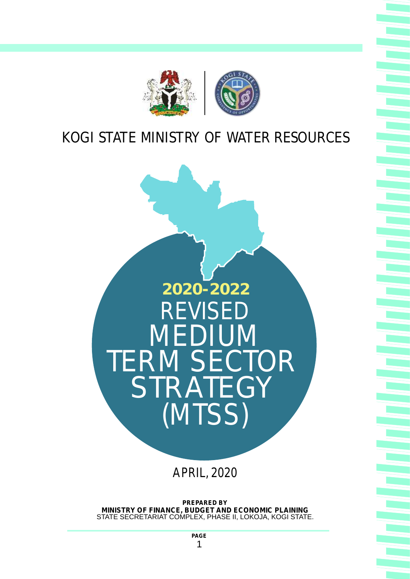

# KOGI STATE MINISTRY OF WATER RESOURCES



**PREPARED BY MINISTRY OF FINANCE, BUDGET AND ECONOMIC PLAINING**  STATE SECRETARIAT COMPLEX, PHASE II, LOKOJA, KOGI STATE.

> **PAGE**  1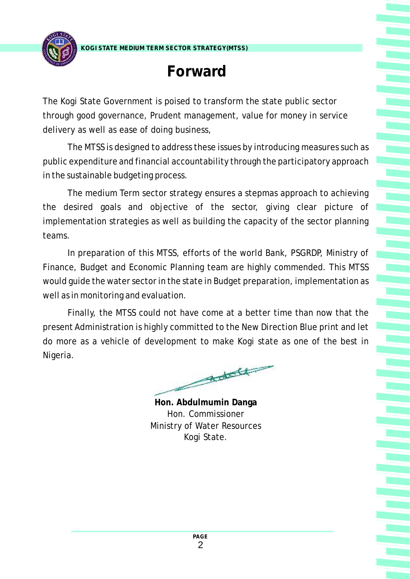**KOGI STATE MEDIUM TERM SECTOR STRATEGY(MTSS)**



# **Forward**

The Kogi State Government is poised to transform the state public sector through good governance, Prudent management, value for money in service delivery as well as ease of doing business,

The MTSS is designed to address these issues by introducing measures such as public expenditure and financial accountability through the participatory approach in the sustainable budgeting process.

The medium Term sector strategy ensures a stepmas approach to achieving the desired goals and objective of the sector, giving clear picture of implementation strategies as well as building the capacity of the sector planning teams.

In preparation of this MTSS, efforts of the world Bank, PSGRDP, Ministry of Finance, Budget and Economic Planning team are highly commended. This MTSS would guide the water sector in the state in Budget preparation, implementation as well as in monitoring and evaluation.

Finally, the MTSS could not have come at a better time than now that the present Administration is highly committed to the New Direction Blue print and let do more as a vehicle of development to make Kogi state as one of the best in Nigeria.

 $\begin{picture}(120,10) \put(0,0){\line(1,0){10}} \put(15,0){\line(1,0){10}} \put(15,0){\line(1,0){10}} \put(15,0){\line(1,0){10}} \put(15,0){\line(1,0){10}} \put(15,0){\line(1,0){10}} \put(15,0){\line(1,0){10}} \put(15,0){\line(1,0){10}} \put(15,0){\line(1,0){10}} \put(15,0){\line(1,0){10}} \put(15,0){\line(1,0){10}} \put(15,0){\line($ 

**Hon. Abdulmumin Danga** Hon. Commissioner Ministry of Water Resources Kogi State.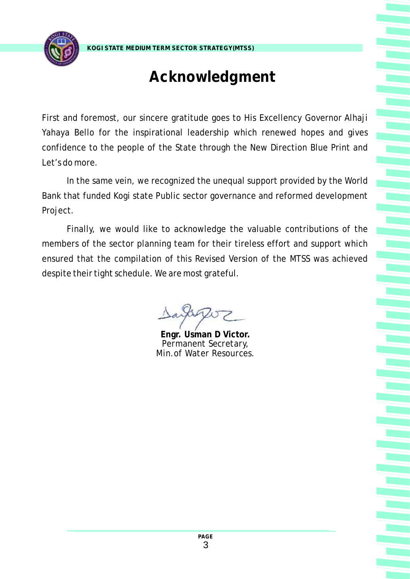

**KOGI STATE MEDIUM TERM SECTOR STRATEGY(MTSS)**

# **Acknowledgment**

First and foremost, our sincere gratitude goes to His Excellency Governor Alhaji Yahaya Bello for the inspirational leadership which renewed hopes and gives confidence to the people of the State through the New Direction Blue Print and Let's do more.

In the same vein, we recognized the unequal support provided by the World Bank that funded Kogi state Public sector governance and reformed development Project.

Finally, we would like to acknowledge the valuable contributions of the members of the sector planning team for their tireless effort and support which ensured that the compilation of this Revised Version of the MTSS was achieved despite their tight schedule. We are most grateful.

**Engr. Usman D Victor.** *Permanent Secretary, Min.of Water Resources.*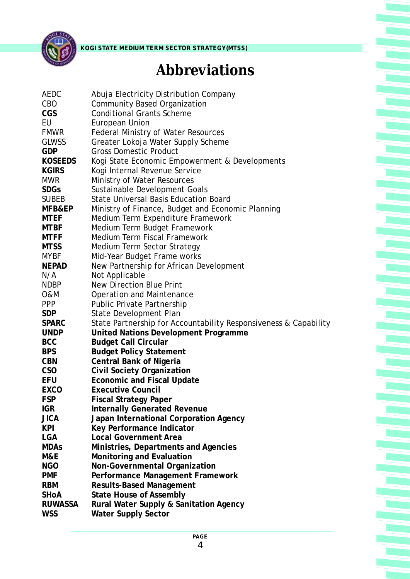

# **Abbreviations**

Ę

| AEDC           | Abuja Electricity Distribution Company                           |
|----------------|------------------------------------------------------------------|
| <b>CBO</b>     | <b>Community Based Organization</b>                              |
| <b>CGS</b>     | <b>Conditional Grants Scheme</b>                                 |
| EU             | European Union                                                   |
| <b>FMWR</b>    | <b>Federal Ministry of Water Resources</b>                       |
| <b>GLWSS</b>   | Greater Lokoja Water Supply Scheme                               |
| GDP            | <b>Gross Domestic Product</b>                                    |
| KOSEEDS        | Kogi State Economic Empowerment & Developments                   |
| <b>KGIRS</b>   | Kogi Internal Revenue Service                                    |
| <b>MWR</b>     | Ministry of Water Resources                                      |
| <b>SDGs</b>    | Sustainable Development Goals                                    |
| <b>SUBEB</b>   | <b>State Universal Basis Education Board</b>                     |
| MFB&EP         | Ministry of Finance, Budget and Economic Planning                |
| MTEF           | Medium Term Expenditure Framework                                |
| <b>MTBF</b>    | Medium Term Budget Framework                                     |
| MTFF           | Medium Term Fiscal Framework                                     |
| <b>MTSS</b>    | Medium Term Sector Strategy                                      |
| <b>MYBF</b>    | Mid-Year Budget Frame works                                      |
| <b>NEPAD</b>   | New Partnership for African Development                          |
| N/A            | Not Applicable                                                   |
| <b>NDBP</b>    | New Direction Blue Print                                         |
| 0&M            | Operation and Maintenance                                        |
| <b>PPP</b>     | Public Private Partnership                                       |
| <b>SDP</b>     | State Development Plan                                           |
| <b>SPARC</b>   | State Partnership for Accountability Responsiveness & Capability |
| <b>UNDP</b>    | United Nations Development Programme                             |
| <b>BCC</b>     | <b>Budget Call Circular</b>                                      |
| <b>BPS</b>     | <b>Budget Policy Statement</b>                                   |
| <b>CBN</b>     | Central Bank of Nigeria                                          |
| CSO            | Civil Society Organization                                       |
| EFU            | <b>Economic and Fiscal Update</b>                                |
| EXCO           | <b>Executive Council</b>                                         |
| <b>FSP</b>     | <b>Fiscal Strategy Paper</b>                                     |
| <b>IGR</b>     | <b>Internally Generated Revenue</b>                              |
| <b>JICA</b>    | Japan International Corporation Agency                           |
| <b>KPI</b>     | Key Performance Indicator                                        |
| <b>LGA</b>     | <b>Local Government Area</b>                                     |
| <b>MDAs</b>    | Ministries, Departments and Agencies                             |
| M&E            | Monitoring and Evaluation                                        |
| <b>NGO</b>     | Non-Governmental Organization                                    |
| <b>PMF</b>     | Performance Management Framework                                 |
| <b>RBM</b>     | <b>Results-Based Management</b>                                  |
| SHOA           | State House of Assembly                                          |
| <b>RUWASSA</b> | Rural Water Supply & Sanitation Agency                           |
| <b>WSS</b>     | Water Supply Sector                                              |
|                |                                                                  |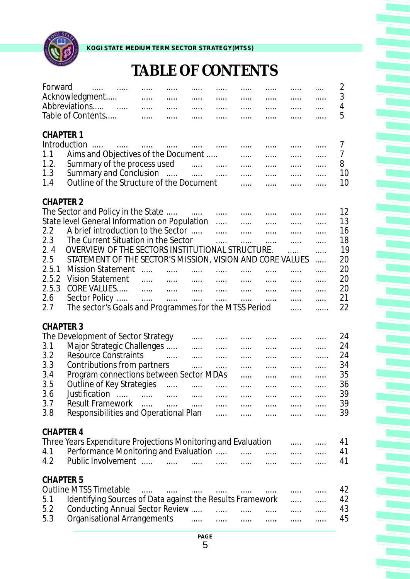

**KOGI STATE MEDIUM TERM SECTOR STRATEGY(MTSS)**

# **TABLE OF CONTENTS**

È

era<br>Kalendar

| Forward                                                                               | $\mathbf{r}$ . The contract of the contract of the contract of the contract of the contract of the contract of the contract of the contract of the contract of the contract of the contract of the contract of the contract of th                                                                                                                                                          | $\cdots$ | $\cdots$          | $\cdots$<br>$\cdots$                                                                        | $\ldots$ .             | $\cdots$<br>$\ldots$                                           | $\cdots$<br>$\cdots$   | $\cdots$                                                                                              | $\cdots$<br>$\cdots$<br>$\ldots$ .                                                  | 2<br>3<br>4<br>5                                               |
|---------------------------------------------------------------------------------------|--------------------------------------------------------------------------------------------------------------------------------------------------------------------------------------------------------------------------------------------------------------------------------------------------------------------------------------------------------------------------------------------|----------|-------------------|---------------------------------------------------------------------------------------------|------------------------|----------------------------------------------------------------|------------------------|-------------------------------------------------------------------------------------------------------|-------------------------------------------------------------------------------------|----------------------------------------------------------------|
| <b>CHAPTER 1</b><br>1.1<br>1.2.<br>1.3<br>1.4                                         | Aims and Objectives of the Document<br>Summary of the process used<br>Summary and Conclusion<br>Outline of the Structure of the Document                                                                                                                                                                                                                                                   |          |                   | a martin and a martin and a                                                                 |                        | $\ldots$<br>$\mathbf{r}$                                       | $\cdots$<br>$\ldots$ . | $\cdots$<br>$\ldots$                                                                                  | $\ldots$ .<br>$\cdots$<br>$\cdots$<br>$\ldots$<br>$\cdots$                          | 7<br>$\overline{7}$<br>8<br>10<br>10                           |
| <b>CHAPTER 2</b><br>2.2<br>2.3<br>2.4<br>2.5<br>2.5.1<br>2.5.2<br>2.5.3<br>2.6<br>2.7 | The Sector and Policy in the State<br>State level General Information on Population<br>A brief introduction to the Sector<br>The Current Situation in the Sector<br>OVERVIEW OF THE SECTORS INSTITUTIONAL STRUCTURE.<br>STATEMENT OF THE SECTOR'S MISSION, VISION AND CORE VALUES<br><b>Mission Statement</b><br>Vision Statement<br>The sector's Goals and Programmes for the MTSS Period |          |                   | المتنبذ المتنب المنتجا المنتب المنتجا المنتب<br>المستحدث الشبيات المستحدث المستحدث المستحدث | $\ldots$               | <b>Service</b>                                                 | . <sub>.</sub> .<br>.  | and the company of the company of the company<br>$\ldots$ .<br>$\ldots$<br><br>$\ldots$ .<br>$\ldots$ | $\cdots$<br>$\cdots$<br>$\ldots$ .<br>$\ldots$ .<br>.<br>.<br>.<br>.<br>.<br>.<br>. | 12<br>13<br>16<br>18<br>19<br>20<br>20<br>20<br>20<br>21<br>22 |
| <b>CHAPTER 3</b><br>3.1<br>3.2<br>3.3<br>3.4<br>3.5<br>3.6<br>3.7<br>3.8              | The Development of Sector Strategy<br>Major Strategic Challenges<br><b>Resource Constraints</b><br>Contributions from partners<br>Program connections between Sector MDAs<br>Outline of Key Strategies<br>Responsibilities and Operational Plan                                                                                                                                            |          |                   | $\mathcal{L} = \{1, 2, \ldots, n\}$<br>$\ldots$<br><b>Service</b> Construction              | $\ldots$ .<br>$\ldots$ | $\cdots$<br>$\ldots$<br>$\ldots$<br><b>Service</b><br>$\cdots$ | <b>.</b>               | $\ldots$ .<br>$\cdots$<br>$\mathbf{r}$ , $\mathbf{r}$ , $\mathbf{r}$ , $\mathbf{r}$                   | .<br>$\ldots$ .<br>$\ldots$ .<br>.<br>$\ldots$ .<br>.<br>$\dddotsc$                 | 24<br>24<br>24<br>34<br>35<br>36<br>39<br>39<br>39             |
| <b>CHAPTER 4</b><br>4.1<br>4.2                                                        | Three Years Expenditure Projections Monitoring and Evaluation<br>Performance Monitoring and Evaluation                                                                                                                                                                                                                                                                                     |          |                   |                                                                                             |                        |                                                                |                        |                                                                                                       |                                                                                     | 41<br>41<br>41                                                 |
| <b>CHAPTER 5</b><br>5.1<br>5.2<br>5.3                                                 | <b>Outline MTSS Timetable</b><br>Identifying Sources of Data against the Results Framework<br>Conducting Annual Sector Review<br>Organisational Arrangements                                                                                                                                                                                                                               |          | $\cdots$ $\cdots$ |                                                                                             |                        |                                                                | $\cdots$               | $\cdots$<br>$\ldots$ . The set of $\mathbb{R}^n$<br>$\ldots$                                          | $\ldots$<br>$\ldots$<br>.                                                           | 42<br>42<br>43<br>45                                           |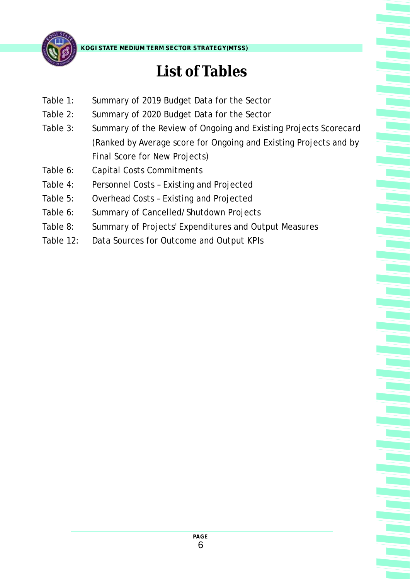

# **List of Tables**

- Table 1: Summary of 2019 Budget Data for the Sector
- Table 2: Summary of 2020 Budget Data for the Sector
- Table 3: Summary of the Review of Ongoing and Existing Projects Scorecard (Ranked by Average score for Ongoing and Existing Projects and by Final Score for New Projects)
- Table 6: Capital Costs Commitments
- Table 4: Personnel Costs Existing and Projected
- Table 5: Overhead Costs Existing and Projected
- Table 6: Summary of Cancelled/Shutdown Projects
- Table 8: Summary of Projects' Expenditures and Output Measures
- Table 12: Data Sources for Outcome and Output KPIs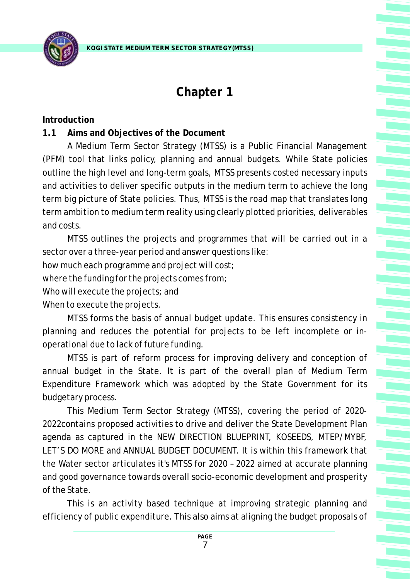

## **Chapter 1**

**Introduction**

**1.1 Aims and Objectives of the Document**

A Medium Term Sector Strategy (MTSS) is a Public Financial Management (PFM) tool that links policy, planning and annual budgets. While State policies outline the high level and long-term goals, MTSS presents costed necessary inputs and activities to deliver specific outputs in the medium term to achieve the long term big picture of State policies. Thus, MTSS is the road map that translates long term ambition to medium term reality using clearly plotted priorities, deliverables and costs.

MTSS outlines the projects and programmes that will be carried out in a sector over a three-year period and answer questions like:

how much each programme and project will cost;

where the funding for the projects comes from;

Who will execute the projects; and

When to execute the projects.

MTSS forms the basis of annual budget update. This ensures consistency in planning and reduces the potential for projects to be left incomplete or inoperational due to lack of future funding.

MTSS is part of reform process for improving delivery and conception of annual budget in the State. It is part of the overall plan of Medium Term Expenditure Framework which was adopted by the State Government for its budgetary process.

This Medium Term Sector Strategy (MTSS), covering the period of 2020- 2022contains proposed activities to drive and deliver the State Development Plan agenda as captured in the NEW DIRECTION BLUEPRINT, KOSEEDS, MTEP/MYBF, LET'S DO MORE and ANNUAL BUDGET DOCUMENT. It is within this framework that the Water sector articulates it's MTSS for 2020 – 2022 aimed at accurate planning and good governance towards overall socio-economic development and prosperity of the State.

This is an activity based technique at improving strategic planning and efficiency of public expenditure. This also aims at aligning the budget proposals of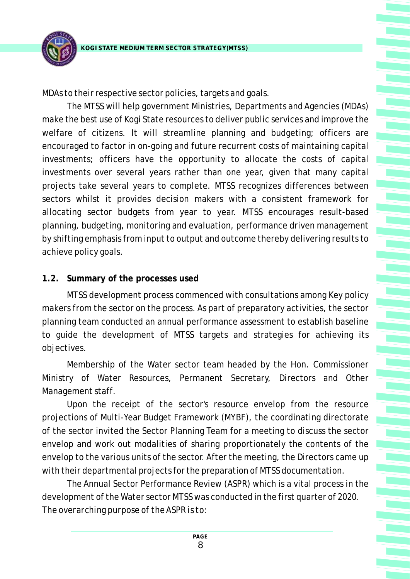

MDAs to their respective sector policies, targets and goals.

The MTSS will help government Ministries, Departments and Agencies (MDAs) make the best use of Kogi State resources to deliver public services and improve the welfare of citizens. It will streamline planning and budgeting; officers are encouraged to factor in on-going and future recurrent costs of maintaining capital investments; officers have the opportunity to allocate the costs of capital investments over several years rather than one year, given that many capital projects take several years to complete. MTSS recognizes differences between sectors whilst it provides decision makers with a consistent framework for allocating sector budgets from year to year. MTSS encourages result-based planning, budgeting, monitoring and evaluation, performance driven management by shifting emphasis from input to output and outcome thereby delivering results to achieve policy goals.

### **1.2. Summary of the processes used**

MTSS development process commenced with consultations among Key policy makers from the sector on the process. As part of preparatory activities, the sector planning team conducted an annual performance assessment to establish baseline to guide the development of MTSS targets and strategies for achieving its objectives.

Membership of the Water sector team headed by the Hon. Commissioner Ministry of Water Resources, Permanent Secretary, Directors and Other Management staff.

Upon the receipt of the sector's resource envelop from the resource projections of Multi-Year Budget Framework (MYBF), the coordinating directorate of the sector invited the Sector Planning Team for a meeting to discuss the sector envelop and work out modalities of sharing proportionately the contents of the envelop to the various units of the sector. After the meeting, the Directors came up with their departmental projects for the preparation of MTSS documentation.

The Annual Sector Performance Review (ASPR) which is a vital process in the development of the Water sector MTSS was conducted in the first quarter of 2020. *The overarching purpose of the ASPR is to:*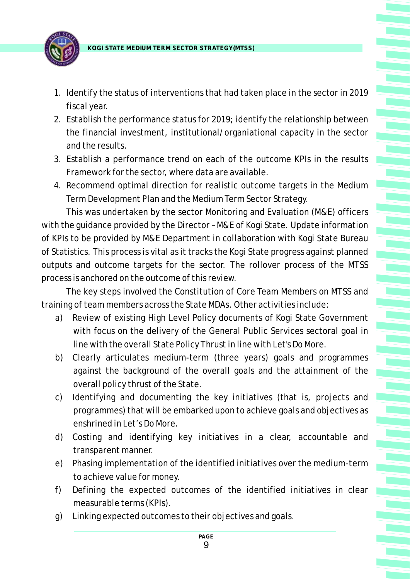

- 1. Identify the status of interventions that had taken place in the sector in 2019 fiscal year.
- 2. Establish the performance status for 2019; identify the relationship between the financial investment, institutional/organiational capacity in the sector and the results.
- 3. Establish a performance trend on each of the outcome KPIs in the results Framework for the sector, where data are available.
- 4. Recommend optimal direction for realistic outcome targets in the Medium Term Development Plan and the Medium Term Sector Strategy.

This was undertaken by the sector Monitoring and Evaluation (M&E) officers with the guidance provided by the Director – M&E of Kogi State. Update information of KPIs to be provided by M&E Department in collaboration with Kogi State Bureau of Statistics. This process is vital as it tracks the Kogi State progress against planned outputs and outcome targets for the sector. The rollover process of the MTSS process is anchored on the outcome of this review.

The key steps involved the Constitution of Core Team Members on MTSS and training of team members across the State MDAs. Other activities include:

- a) Review of existing High Level Policy documents of Kogi State Government with focus on the delivery of the General Public Services sectoral goal in line with the overall State Policy Thrust in line with Let's Do More.
- b) Clearly articulates medium-term (three years) goals and programmes against the background of the overall goals and the attainment of the overall policy thrust of the State.
- c) Identifying and documenting the key initiatives (that is, projects and programmes) that will be embarked upon to achieve goals and objectives as enshrined in Let's Do More.
- d) Costing and identifying key initiatives in a clear, accountable and transparent manner.
- e) Phasing implementation of the identified initiatives over the medium-term to achieve value for money.
- f) Defining the expected outcomes of the identified initiatives in clear measurable terms (KPIs).
- g) Linking expected outcomes to their objectives and goals.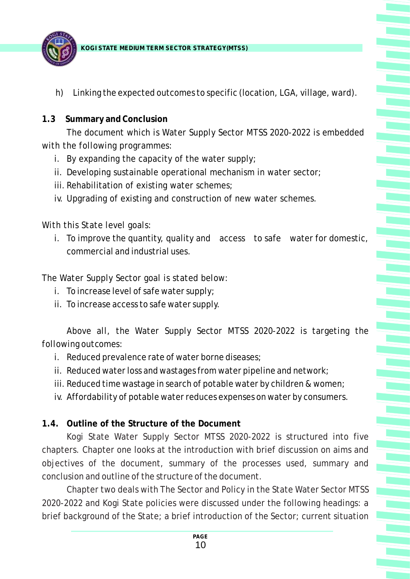

- h) Linking the expected outcomes to specific (location, LGA, village, ward).
- **1.3 Summary and Conclusion**

*The document which is Water Supply Sector MTSS 2020-2022 is embedded with the following programmes:*

- i. By expanding the capacity of the water supply;
- ii. Developing sustainable operational mechanism in water sector;
- iii. Rehabilitation of existing water schemes;
- iv. Upgrading of existing and construction of new water schemes.

*With this State level goals:* 

i. To improve the quantity, quality and access to safe water for domestic, commercial and industrial uses.

*The Water Supply Sector goal is stated below:*

- i. To increase level of safe water supply;
- ii. To increase access to safe water supply.

*Above all, the Water Supply Sector MTSS 2020-2022 is targeting the following outcomes:*

- i. Reduced prevalence rate of water borne diseases;
- ii. Reduced water loss and wastages from water pipeline and network;
- iii. Reduced time wastage in search of potable water by children & women;
- iv. Affordability of potable water reduces expenses on water by consumers.

**1.4. Outline of the Structure of the Document**

Kogi State Water Supply Sector MTSS 2020-2022 is structured into five chapters. Chapter one looks at the introduction with brief discussion on aims and objectives of the document, summary of the processes used, summary and conclusion and outline of the structure of the document.

Chapter two deals with The Sector and Policy in the State Water Sector MTSS 2020-2022 and Kogi State policies were discussed under the following headings: a brief background of the State; a brief introduction of the Sector; current situation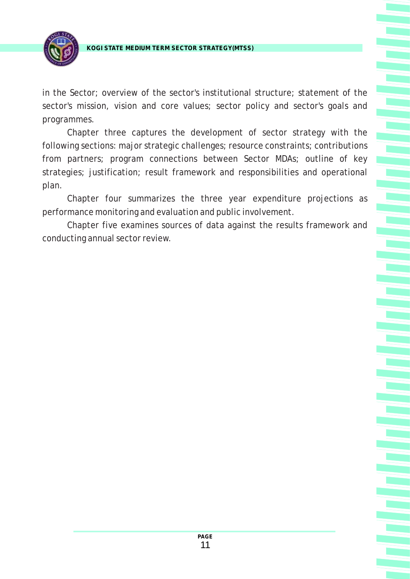

in the Sector; overview of the sector's institutional structure; statement of the sector's mission, vision and core values; sector policy and sector's goals and programmes.

Chapter three captures the development of sector strategy with the following sections: major strategic challenges; resource constraints; contributions from partners; program connections between Sector MDAs; outline of key strategies; justification; result framework and responsibilities and operational plan.

Chapter four summarizes the three year expenditure projections as performance monitoring and evaluation and public involvement.

Chapter five examines sources of data against the results framework and conducting annual sector review.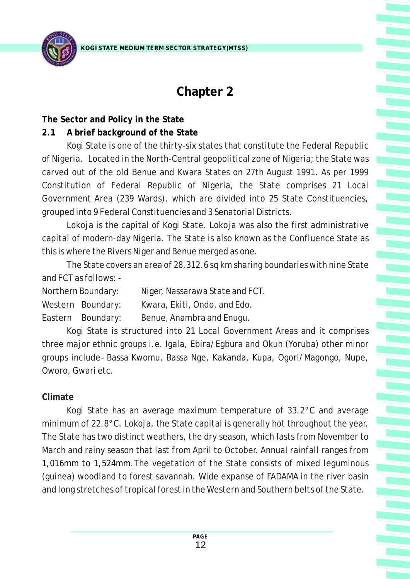## **Chapter 2**

**The Sector and Policy in the State**

### **2.1 A brief background of the State**

Kogi State is one of the thirty-six states that constitute the Federal Republic of Nigeria. Located in the North-Central geopolitical zone of Nigeria; the State was carved out of the old Benue and Kwara States on 27th August 1991. As per 1999 Constitution of Federal Republic of Nigeria, the State comprises 21 Local Government Area (239 Wards), which are divided into 25 State Constituencies, grouped into 9 Federal Constituencies and 3 Senatorial Districts.

Lokoja is the capital of Kogi State. Lokoja was also the first administrative capital of modern-day Nigeria. The State is also known as the Confluence State as this is where the Rivers Niger and Benue merged as one.

The State covers an area of 28,312.6 sq km sharing boundaries with nine State and FCT as follows: -

Northern Boundary: Niger, Nassarawa State and FCT.

Western Boundary: Kwara, Ekiti, Ondo, and Edo.

Eastern Boundary: Benue, Anambra and Enugu.

Kogi State is structured into 21 Local Government Areas and it comprises three major ethnic groups i.e. Igala, Ebira/Egbura and Okun (Yoruba) other minor groups include– Bassa Kwomu, Bassa Nge, Kakanda, Kupa, Ogori/Magongo, Nupe, Oworo, Gwari etc.

## **Climate**

1,016mm to 1,524mm .The vegetation of the State consists of mixed leguminous Kogi State has an average maximum temperature of 33.2°C and average minimum of 22.8°C. Lokoja, the State capital is generally hot throughout the year. The State has two distinct weathers, the dry season, which lasts from November to March and rainy season that last from April to October. Annual rainfall ranges from (guinea) woodland to forest savannah. Wide expanse of FADAMA in the river basin and long stretches of tropical forest in the Western and Southern belts of the State.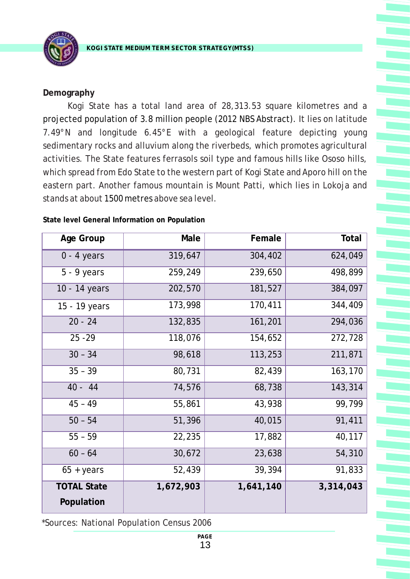

#### **Demography**

Kogi State has a total land area of 28,313.53 square kilometres and a projected population of 3.8 million people (2012 NBS Abstract). It lies on latitude 7.49°N and longitude 6.45°E with a geological feature depicting young sedimentary rocks and alluvium along the riverbeds, which promotes agricultural activities. The State features ferrasols soil type and famous hills like Ososo hills, which spread from Edo State to the western part of Kogi State and Aporo hill on the eastern part. Another famous mountain is Mount Patti, which lies in Lokoja and stands at about 1500 metres above sea level.

| Age Group           | Male      | Female    | Total     |
|---------------------|-----------|-----------|-----------|
| $0 - 4$ years       | 319,647   | 304,402   | 624,049   |
| $5 - 9$ years       | 259,249   | 239,650   | 498,899   |
| 10 - 14 years       | 202,570   | 181,527   | 384,097   |
| 15 - 19 years       | 173,998   | 170,411   | 344,409   |
| $20 - 24$           | 132,835   | 161,201   | 294,036   |
| $25 - 29$           | 118,076   | 154,652   | 272,728   |
| $30 - 34$           | 98,618    | 113,253   | 211,871   |
| $35 - 39$           | 80,731    | 82,439    | 163,170   |
| $40 - 44$           | 74,576    | 68,738    | 143,314   |
| $45 - 49$           | 55,861    | 43,938    | 99,799    |
| $50 - 54$           | 51,396    | 40,015    | 91,411    |
| $55 - 59$           | 22,235    | 17,882    | 40,117    |
| $60 - 64$           | 30,672    | 23,638    | 54,310    |
| $65 + \text{years}$ | 52,439    | 39,394    | 91,833    |
| <b>TOTAL State</b>  | 1,672,903 | 1,641,140 | 3,314,043 |
| Population          |           |           |           |

**State level General Information on Population**

\*Sources: National Population Census 2006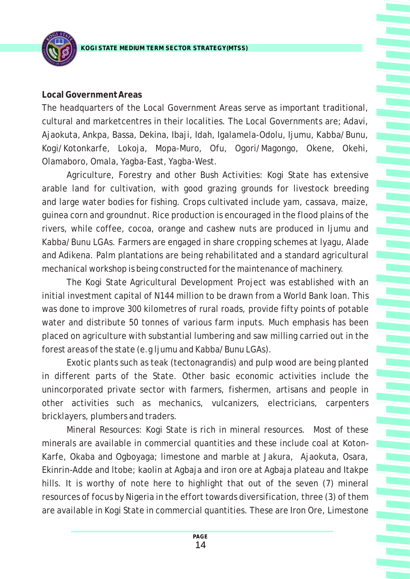#### **Local Government Areas**

The headquarters of the Local Government Areas serve as important traditional, cultural and marketcentres in their localities. The Local Governments are; Adavi, Ajaokuta, Ankpa, Bassa, Dekina, Ibaji, Idah, Igalamela-Odolu, Ijumu, Kabba/Bunu, Kogi/Kotonkarfe, Lokoja, Mopa-Muro, Ofu, Ogori/Magongo, Okene, Okehi, Olamaboro, Omala, Yagba-East, Yagba-West.

Agriculture, Forestry and other Bush Activities: Kogi State has extensive arable land for cultivation, with good grazing grounds for livestock breeding and large water bodies for fishing. Crops cultivated include yam, cassava, maize, guinea corn and groundnut. Rice production is encouraged in the flood plains of the rivers, while coffee, cocoa, orange and cashew nuts are produced in ljumu and Kabba/Bunu LGAs. Farmers are engaged in share cropping schemes at lyagu, Alade and Adikena. Palm plantations are being rehabilitated and a standard agricultural mechanical workshop is being constructed for the maintenance of machinery.

The Kogi State Agricultural Development Project was established with an initial investment capital of N144 million to be drawn from a World Bank loan. This was done to improve 300 kilometres of rural roads, provide fifty points of potable water and distribute 50 tonnes of various farm inputs. Much emphasis has been placed on agriculture with substantial lumbering and saw milling carried out in the forest areas of the state (e.g ljumu and Kabba/Bunu LGAs).

Exotic plants such as teak (tectonagrandis) and pulp wood are being planted in different parts of the State. Other basic economic activities include the unincorporated private sector with farmers, fishermen, artisans and people in other activities such as mechanics, vulcanizers, electricians, carpenters bricklayers, plumbers and traders.

Mineral Resources: Kogi State is rich in mineral resources. Most of these minerals are available in commercial quantities and these include coal at Koton-Karfe, Okaba and Ogboyaga; limestone and marble at Jakura, Ajaokuta, Osara, Ekinrin-Adde and ltobe; kaolin at Agbaja and iron ore at Agbaja plateau and Itakpe hills. It is worthy of note here to highlight that out of the seven (7) mineral resources of focus by Nigeria in the effort towards diversification, three (3) of them are available in Kogi State in commercial quantities. These are Iron Ore, Limestone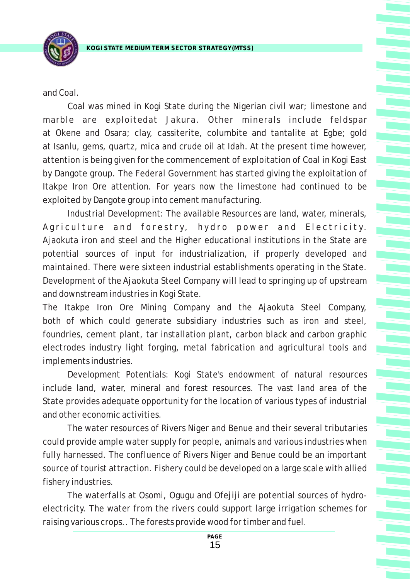

and Coal.

Coal was mined in Kogi State during the Nigerian civil war; limestone and marble are exploitedat Jakura. Other minerals include feldspar at Okene and Osara; clay, cassiterite, columbite and tantalite at Egbe; gold at Isanlu, gems, quartz, mica and crude oil at Idah. At the present time however, attention is being given for the commencement of exploitation of Coal in Kogi East by Dangote group. The Federal Government has started giving the exploitation of Itakpe Iron Ore attention. For years now the limestone had continued to be exploited by Dangote group into cement manufacturing.

Industrial Development: The available Resources are land, water, minerals, Agriculture and forestry, hydro power and Electricity. Ajaokuta iron and steel and the Higher educational institutions in the State are potential sources of input for industrialization, if properly developed and maintained. There were sixteen industrial establishments operating in the State. Development of the Ajaokuta Steel Company will lead to springing up of upstream and downstream industries in Kogi State.

The Itakpe Iron Ore Mining Company and the Ajaokuta Steel Company, both of which could generate subsidiary industries such as iron and steel, foundries, cement plant, tar installation plant, carbon black and carbon graphic electrodes industry light forging, metal fabrication and agricultural tools and implements industries.

Development Potentials: Kogi State's endowment of natural resources include land, water, mineral and forest resources. The vast land area of the State provides adequate opportunity for the location of various types of industrial and other economic activities.

The water resources of Rivers Niger and Benue and their several tributaries could provide ample water supply for people, animals and various industries when fully harnessed. The confluence of Rivers Niger and Benue could be an important source of tourist attraction. Fishery could be developed on a large scale with allied fishery industries.

The waterfalls at Osomi, Ogugu and Ofejiji are potential sources of hydroelectricity. The water from the rivers could support large irrigation schemes for raising various crops.. The forests provide wood for timber and fuel.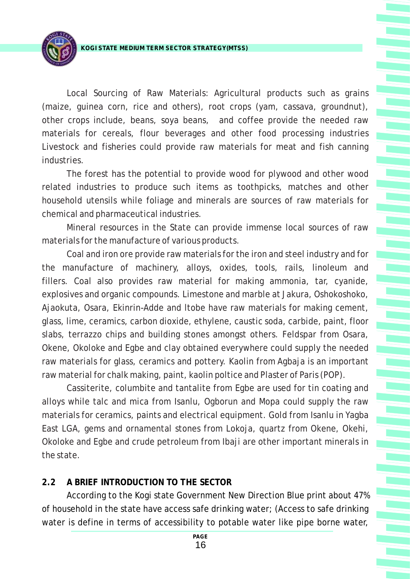

Local Sourcing of Raw Materials: Agricultural products such as grains (maize, guinea corn, rice and others), root crops (yam, cassava, groundnut), other crops include, beans, soya beans, and coffee provide the needed raw materials for cereals, flour beverages and other food processing industries Livestock and fisheries could provide raw materials for meat and fish canning industries.

The forest has the potential to provide wood for plywood and other wood related industries to produce such items as toothpicks, matches and other household utensils while foliage and minerals are sources of raw materials for chemical and pharmaceutical industries.

Mineral resources in the State can provide immense local sources of raw materials for the manufacture of various products.

Coal and iron ore provide raw materials for the iron and steel industry and for the manufacture of machinery, alloys, oxides, tools, rails, linoleum and fillers. Coal also provides raw material for making ammonia, tar, cyanide, explosives and organic compounds. Limestone and marble at Jakura, Oshokoshoko, Ajaokuta, Osara, Ekinrin-Adde and ltobe have raw materials for making cement, glass, lime, ceramics, carbon dioxide, ethylene, caustic soda, carbide, paint, floor slabs, terrazzo chips and building stones amongst others. Feldspar from Osara, Okene, Okoloke and Egbe and clay obtained everywhere could supply the needed raw materials for glass, ceramics and pottery. Kaolin from Agbaja is an important raw material for chalk making, paint, kaolin poltice and Plaster of Paris (POP).

Cassiterite, columbite and tantalite from Egbe are used for tin coating and alloys while talc and mica from Isanlu, Ogborun and Mopa could supply the raw materials for ceramics, paints and electrical equipment. Gold from Isanlu in Yagba East LGA, gems and ornamental stones from Lokoja, quartz from Okene, Okehi, Okoloke and Egbe and crude petroleum from Ibaji are other important minerals in the state.

### **2.2 A BRIEF INTRODUCTION TO THE SECTOR**

According to the Kogi state Government New Direction Blue print about 47% of household in the state have access safe drinking water; (Access to safe drinking water is define in terms of accessibility to potable water like pipe borne water,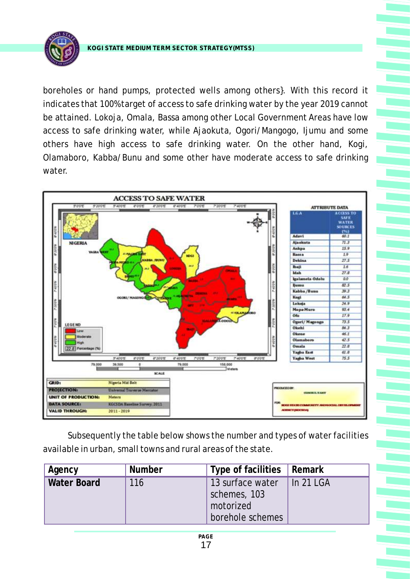

boreholes or hand pumps, protected wells among others}. With this record it indicates that 100% target of access to safe drinking water by the year 2019 cannot be attained. Lokoja, Omala, Bassa among other Local Government Areas have low access to safe drinking water, while Ajaokuta, Ogori/Mangogo, Ijumu and some others have high access to safe drinking water. On the other hand, Kogi, Olamaboro, Kabba/Bunu and some other have moderate access to safe drinking water.



Subsequently the table below shows the number and types of water facilities available in urban, small towns and rural areas of the state.

| Agency      | <b>Number</b> | Type of facilities   Remark                                       |           |
|-------------|---------------|-------------------------------------------------------------------|-----------|
| Water Board | 116           | 13 surface water<br>schemes, 103<br>motorized<br>borehole schemes | In 21 LGA |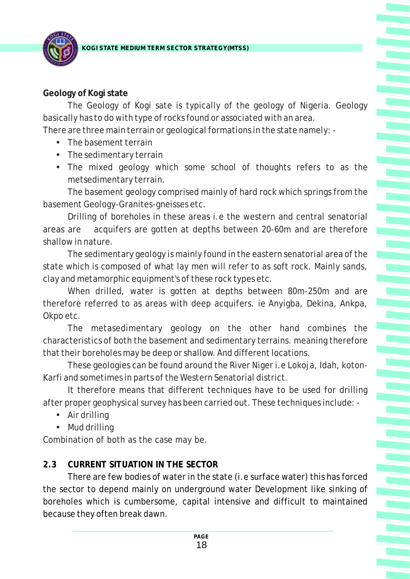**KOGI STATE MEDIUM TERM SECTOR STRATEGY(MTSS)**

## **Geology of Kogi state**

The Geology of Kogi sate is typically of the geology of Nigeria. Geology basically has to do with type of rocks found or associated with an area.

There are three main terrain or geological formations in the state namely: -

- The basement terrain
- The sedimentary terrain
- •The mixed geology which some school of thoughts refers to as the metsedimentary terrain.

The basement geology comprised mainly of hard rock which springs from the basement Geology-Granites-gneisses etc.

Drilling of boreholes in these areas i.e the western and central senatorial areas are acquifers are gotten at depths between 20-60m and are therefore shallow in nature.

The sedimentary geology is mainly found in the eastern senatorial area of the state which is composed of what lay men will refer to as soft rock. Mainly sands, clay and metamorphic equipment's of these rock types etc.

When drilled, water is gotten at depths between 80m-250m and are therefore referred to as areas with deep acquifers. ie Anyigba, Dekina, Ankpa, Okpo etc.

The metasedimentary geology on the other hand combines the characteristics of both the basement and sedimentary terrains. meaning therefore that their boreholes may be deep or shallow. And different locations.

These geologies can be found around the River Niger i.e Lokoja, Idah, koton-Karfi and sometimes in parts of the Western Senatorial district.

It therefore means that different techniques have to be used for drilling after proper geophysical survey has been carried out. These techniques include: -

- •Air drilling
- Mud drilling

Combination of both as the case may be.

## **2.3 CURRENT SITUATION IN THE SECTOR**

There are few bodies of water in the state (i.e surface water) this has forced the sector to depend mainly on underground water Development like sinking of boreholes which is cumbersome, capital intensive and difficult to maintained because they often break dawn.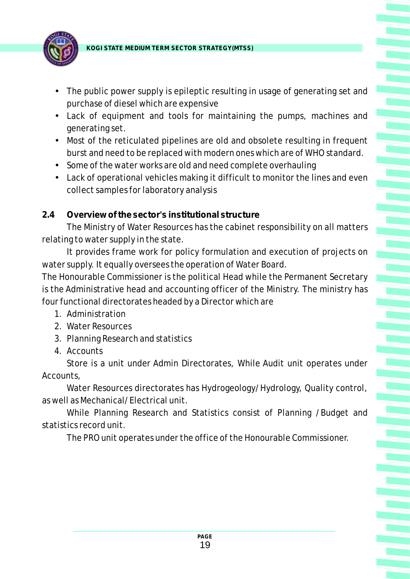

- •The public power supply is epileptic resulting in usage of generating set and purchase of diesel which are expensive
- •Lack of equipment and tools for maintaining the pumps, machines and generating set.
- Most of the reticulated pipelines are old and obsolete resulting in frequent burst and need to be replaced with modern ones which are of WHO standard.
- Some of the water works are old and need complete overhauling
- •Lack of operational vehicles making it difficult to monitor the lines and even collect samples for laboratory analysis

### **2.4 Overview of the sector's institutional structure**

The Ministry of Water Resources has the cabinet responsibility on all matters relating to water supply in the state.

It provides frame work for policy formulation and execution of projects on water supply. It equally oversees the operation of Water Board.

The Honourable Commissioner is the political Head while the Permanent Secretary is the Administrative head and accounting officer of the Ministry. The ministry has four functional directorates headed by a Director which are

- 1. Administration
- 2. Water Resources
- 3. Planning Research and statistics
- 4. Accounts

Store is a unit under Admin Directorates, While Audit unit operates under Accounts,

Water Resources directorates has Hydrogeology/Hydrology, Quality control, as well as Mechanical/Electrical unit.

While Planning Research and Statistics consist of Planning /Budget and statistics record unit.

The PRO unit operates under the office of the Honourable Commissioner.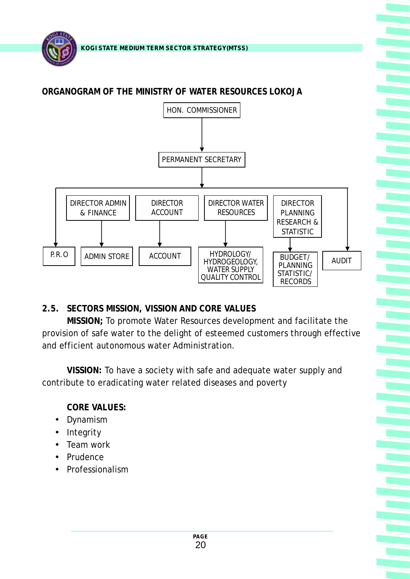

**ORGANOGRAM OF THE MINISTRY OF WATER RESOURCES LOKOJA**



**2.5. SECTORS MISSION, VISSION AND CORE VALUES**

**MISSION;** To promote Water Resources development and facilitate the provision of safe water to the delight of esteemed customers through effective and efficient autonomous water Administration.

**VISSION:** To have a society with safe and adequate water supply and contribute to eradicating water related diseases and poverty

**CORE VALUES:**

- •Dynamism
- Integrity
- Team work
- Prudence
- Professionalism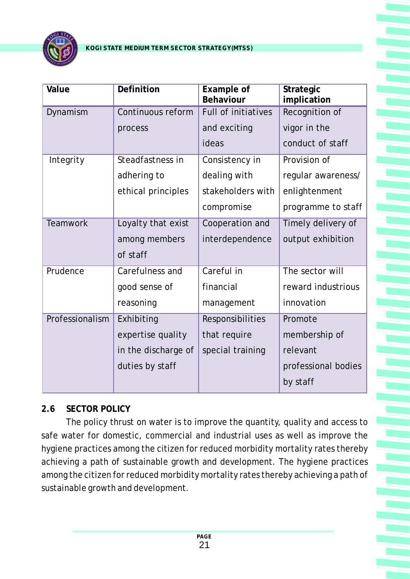

| Value           | Definition          | Example of<br>Behaviour | Strategic<br>implication |
|-----------------|---------------------|-------------------------|--------------------------|
| Dynamism        | Continuous reform   | Full of initiatives     | Recognition of           |
|                 | process             | and exciting            | vigor in the             |
|                 |                     | ideas                   | conduct of staff         |
| Integrity       | Steadfastness in    | Consistency in          | Provision of             |
|                 | adhering to         | dealing with            | regular awareness/       |
|                 | ethical principles  | stakeholders with       | enlightenment            |
|                 |                     | compromise              | programme to staff       |
| <b>Teamwork</b> | Loyalty that exist  | Cooperation and         | Timely delivery of       |
|                 | among members       | interdependence         | output exhibition        |
|                 | of staff            |                         |                          |
| Prudence        | Carefulness and     | Careful in              | The sector will          |
|                 | good sense of       | financial               | reward industrious       |
|                 | reasoning           | management              | innovation               |
| Professionalism | Exhibiting          | Responsibilities        | Promote                  |
|                 | expertise quality   | that require            | membership of            |
|                 | in the discharge of | special training        | relevant                 |
|                 | duties by staff     |                         | professional bodies      |
|                 |                     |                         | by staff                 |

### **2.6 SECTOR POLICY**

The policy thrust on water is to improve the quantity, quality and access to safe water for domestic, commercial and industrial uses as well as improve the hygiene practices among the citizen for reduced morbidity mortality rates thereby achieving a path of sustainable growth and development. The hygiene practices among the citizen for reduced morbidity mortality rates thereby achieving a path of sustainable growth and development.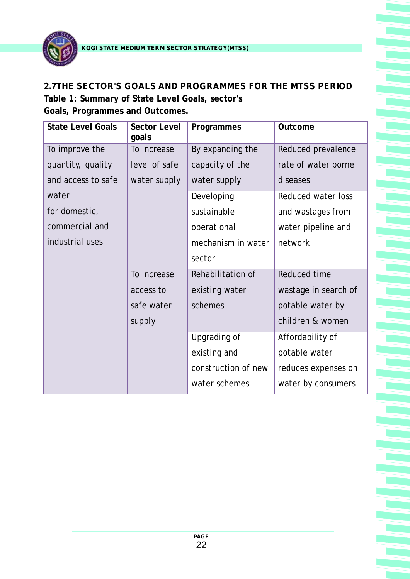

#### **2.7THE SECTOR'S GOALS AND PROGRAMMES FOR THE MTSS PERIOD**

**Table 1: Summary of State Level Goals, sector's Goals, Programmes and Outcomes.**

| <b>State Level Goals</b> | Sector Level<br>goals | Programmes          | Outcome              |
|--------------------------|-----------------------|---------------------|----------------------|
| To improve the           | To increase           | By expanding the    | Reduced prevalence   |
| quantity, quality        | level of safe         | capacity of the     | rate of water borne  |
| and access to safe       | water supply          | water supply        | diseases             |
| water                    |                       | Developing          | Reduced water loss   |
| for domestic,            |                       | sustainable         | and wastages from    |
| commercial and           |                       | operational         | water pipeline and   |
| industrial uses          |                       | mechanism in water  | network              |
|                          |                       | sector              |                      |
|                          | To increase           | Rehabilitation of   | Reduced time         |
|                          | access to             | existing water      | wastage in search of |
|                          | safe water            | schemes             | potable water by     |
|                          | supply                |                     | children & women     |
|                          |                       | Upgrading of        | Affordability of     |
|                          |                       | existing and        | potable water        |
|                          |                       | construction of new | reduces expenses on  |
|                          |                       | water schemes       | water by consumers   |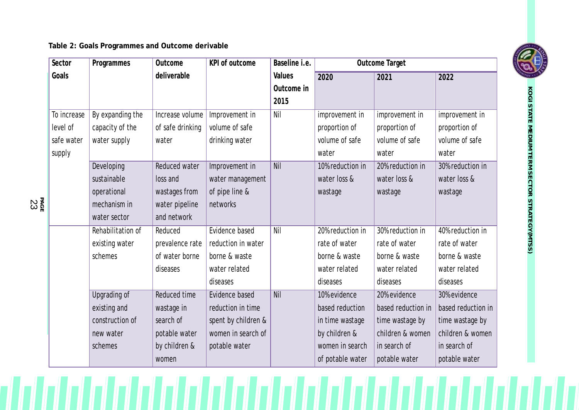**Table 2: Goals Programmes and Outcome derivable**

**PA** ន្ត<br>ក្នុង

| Sector      | Programmes          | Outcome          | KPI of outcome      | Baseline i.e. |                  | Outcome Target     |                    |
|-------------|---------------------|------------------|---------------------|---------------|------------------|--------------------|--------------------|
| Goals       |                     | deliverable      |                     | Values        | 2020             | 2021               | 2022               |
|             |                     |                  |                     | Outcome in    |                  |                    |                    |
|             |                     |                  |                     | 2015          |                  |                    |                    |
| To increase | By expanding the    | Increase volume  | Improvement in      | Nil           | improvement in   | improvement in     | improvement in     |
| level of    | capacity of the     | of safe drinking | volume of safe      |               | proportion of    | proportion of      | proportion of      |
| safe water  | water supply        | water            | drinking water      |               | volume of safe   | volume of safe     | volume of safe     |
| supply      |                     |                  |                     |               | water            | water              | water              |
|             | Developing          | Reduced water    | Improvement in      | Nil           | 10% reduction in | 20% reduction in   | 30% reduction in   |
|             | sustainable         | loss and         | water management    |               | water loss &     | water loss &       | water loss &       |
|             | operational         | wastages from    | of pipe line &      |               | wastage          | wastage            | wastage            |
|             | mechanism in        | water pipeline   | networks            |               |                  |                    |                    |
|             | water sector        | and network      |                     |               |                  |                    |                    |
|             | Rehabilitation of   | Reduced          | Evidence based      | Nil           | 20% reduction in | 30% reduction in   | 40% reduction in   |
|             | existing water      | prevalence rate  | reduction in water  |               | rate of water    | rate of water      | rate of water      |
|             | schemes             | of water borne   | borne & waste       |               | borne & waste    | borne & waste      | borne & waste      |
|             |                     | diseases         | water related       |               | water related    | water related      | water related      |
|             |                     |                  | diseases            |               | diseases         | diseases           | diseases           |
|             | <b>Upgrading of</b> | Reduced time     | Evidence based      | <b>Nil</b>    | 10% evidence     | 20% evidence       | 30% evidence       |
|             | existing and        | wastage in       | reduction in time   |               | based reduction  | based reduction in | based reduction in |
|             | construction of     | search of        | spent by children & |               | in time wastage  | time wastage by    | time wastage by    |
|             | new water           | potable water    | women in search of  |               | by children &    | children & women   | children & women   |
|             | schemes             | by children &    | potable water       |               | women in search  | in search of       | in search of       |
|             |                     | women            |                     |               | of potable water | potable water      | potable water      |

**K O GI**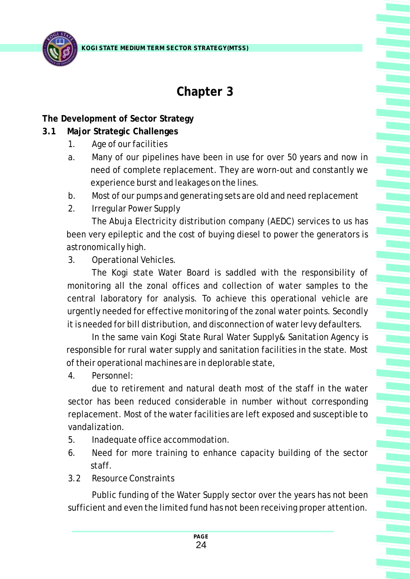

## **Chapter 3**

**The Development of Sector Strategy**

- **3.1 Major Strategic Challenges**
	- 1. Age of our facilities
	- a. Many of our pipelines have been in use for over 50 years and now in need of complete replacement. They are worn-out and constantly we experience burst and leakages on the lines.
	- b. Most of our pumps and generating sets are old and need replacement
	- 2. Irregular Power Supply

The Abuja Electricity distribution company (AEDC) services to us has been very epileptic and the cost of buying diesel to power the generators is astronomically high.

3. Operational Vehicles.

The Kogi state Water Board is saddled with the responsibility of monitoring all the zonal offices and collection of water samples to the central laboratory for analysis. To achieve this operational vehicle are urgently needed for effective monitoring of the zonal water points. Secondly it is needed for bill distribution, and disconnection of water levy defaulters.

In the same vain Kogi State Rural Water Supply& Sanitation Agency is responsible for rural water supply and sanitation facilities in the state. Most of their operational machines are in deplorable state,

4. Personnel:

due to retirement and natural death most of the staff in the water sector has been reduced considerable in number without corresponding replacement. Most of the water facilities are left exposed and susceptible to vandalization.

- 5. Inadequate office accommodation.
- 6. Need for more training to enhance capacity building of the sector staff.
- 3.2 Resource Constraints

Public funding of the Water Supply sector over the years has not been sufficient and even the limited fund has not been receiving proper attention.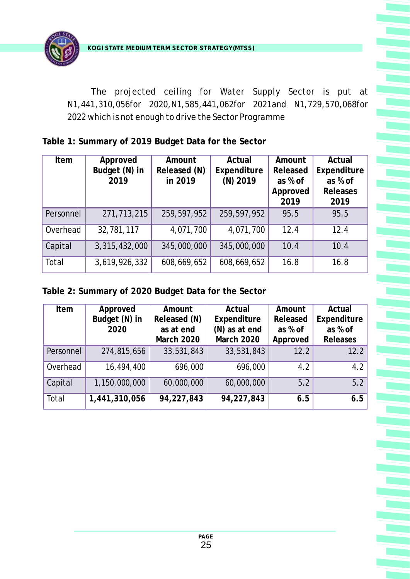The projected ceiling for Water Supply Sector is put at N1,441,310,056for 2020,N1,585,441,062for 2021and N1,729,570,068for 2022 which is not enough to drive the Sector Programme

**Table 1: Summary of 2019 Budget Data for the Sector**

| Item      | Approved      | Amount       | Actual      | Amount   | Actual      |
|-----------|---------------|--------------|-------------|----------|-------------|
|           | Budget (N) in | Released (N) |             | Released |             |
|           |               |              | Expenditure |          | Expenditure |
|           | 2019          | in 2019      | $(N)$ 2019  | as % of  | as % of     |
|           |               |              |             | Approved | Releases    |
|           |               |              |             | 2019     | 2019        |
| Personnel | 271,713,215   | 259,597,952  | 259,597,952 | 95.5     | 95.5        |
| Overhead  | 32,781,117    | 4,071,700    | 4,071,700   | 12.4     | 12.4        |
| Capital   | 3,315,432,000 | 345,000,000  | 345,000,000 | 10.4     | 10.4        |
| Total     | 3,619,926,332 | 608,669,652  | 608,669,652 | 16.8     | 16.8        |

**Table 2: Summary of 2020 Budget Data for the Sector**

| Approved<br>Item |               | Amount       | Actual        | Amount   | Actual      |  |
|------------------|---------------|--------------|---------------|----------|-------------|--|
|                  | Budget (N) in | Released (N) | Expenditure   | Released | Expenditure |  |
|                  | 2020          | as at end    | (N) as at end | as % of  | as % of     |  |
|                  |               | March 2020   | March 2020    | Approved | Releases    |  |
| Personnel        | 274,815,656   | 33,531,843   | 33,531,843    | 12.2     | 12.2        |  |
| Overhead         | 16,494,400    | 696,000      | 696,000       | 4.2      | 4.2         |  |
| Capital          | 1,150,000,000 | 60,000,000   | 60,000,000    | 5.2      | 5.2         |  |
| Total            | 1,441,310,056 | 94,227,843   | 94,227,843    | 6.5      | 6.5         |  |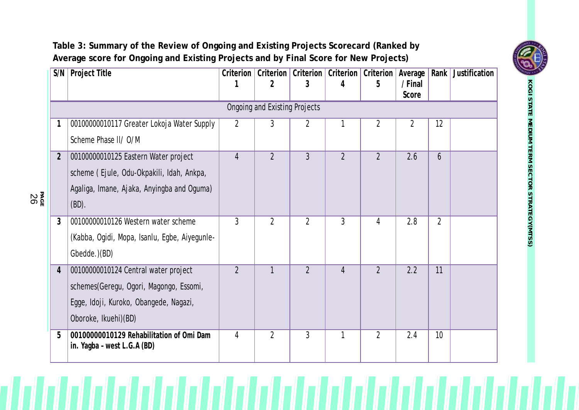### **Table 3: Summary of the Review of Ongoing and Existing Projects Scorecard (Ranked by Average score for Ongoing and Existing Projects and by Final Score for New Projects)**

**PA** ន្ត<br>គ្ម

| S/N            | Project Title                                                           | Criterion      | Criterion  <br>$\overline{2}$ | Criterion<br>3 | Criterion<br>4 | Criterion<br>5 | Average<br>/ Final | Rank           | Justification |  |
|----------------|-------------------------------------------------------------------------|----------------|-------------------------------|----------------|----------------|----------------|--------------------|----------------|---------------|--|
|                |                                                                         |                |                               |                |                |                | Score              |                |               |  |
|                | <b>Ongoing and Existing Projects</b>                                    |                |                               |                |                |                |                    |                |               |  |
|                | 00100000010117 Greater Lokoja Water Supply                              | $\overline{2}$ | 3                             | $\overline{2}$ | 1              | $\overline{2}$ | $\overline{2}$     | 12             |               |  |
|                | Scheme Phase II/ O/M                                                    |                |                               |                |                |                |                    |                |               |  |
| $\overline{2}$ | 00100000010125 Eastern Water project                                    | $\overline{4}$ | $\overline{2}$                | $\overline{3}$ | $\overline{2}$ | $\overline{2}$ | 2.6                | 6              |               |  |
|                | scheme (Ejule, Odu-Okpakili, Idah, Ankpa,                               |                |                               |                |                |                |                    |                |               |  |
|                | Agaliga, Imane, Ajaka, Anyingba and Oguma)                              |                |                               |                |                |                |                    |                |               |  |
|                | $(BD)$ .                                                                |                |                               |                |                |                |                    |                |               |  |
| $\mathfrak{Z}$ | 00100000010126 Western water scheme                                     | 3              | $\overline{2}$                | $\overline{2}$ | $\mathfrak{Z}$ | $\overline{4}$ | 2.8                | $\overline{2}$ |               |  |
|                | (Kabba, Ogidi, Mopa, Isanlu, Egbe, Aiyegunle-                           |                |                               |                |                |                |                    |                |               |  |
|                | Gbedde.)(BD)                                                            |                |                               |                |                |                |                    |                |               |  |
| $\overline{4}$ | 00100000010124 Central water project                                    | $\overline{2}$ |                               | $\overline{2}$ | $\overline{4}$ | $\overline{2}$ | 2.2                | 11             |               |  |
|                | schemes(Geregu, Ogori, Magongo, Essomi,                                 |                |                               |                |                |                |                    |                |               |  |
|                | Egge, Idoji, Kuroko, Obangede, Nagazi,                                  |                |                               |                |                |                |                    |                |               |  |
|                | Oboroke, Ikuehi)(BD)                                                    |                |                               |                |                |                |                    |                |               |  |
| 5              | 00100000010129 Rehabilitation of Omi Dam<br>in. Yagba - west L.G.A (BD) | $\overline{4}$ | $\overline{2}$                | $\overline{3}$ | 1              | $\overline{2}$ | 2.4                | 10             |               |  |



**K O GI**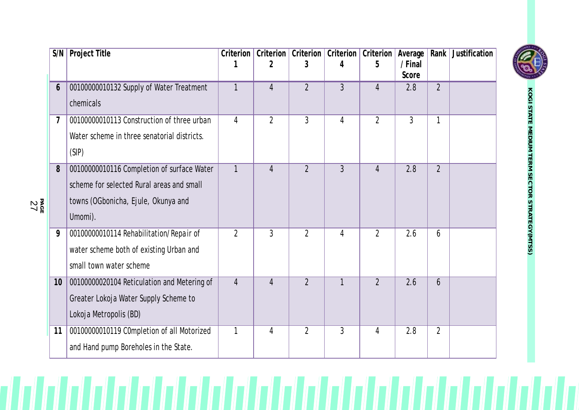| S/N            | Project Title                                                                                                                             | Criterion      | Criterion<br>2 | Criterion<br>3 | Criterion<br>4 | Criterion<br>5 | Average<br>/ Final<br>Score | Rank           | Justification |
|----------------|-------------------------------------------------------------------------------------------------------------------------------------------|----------------|----------------|----------------|----------------|----------------|-----------------------------|----------------|---------------|
| 6              | 00100000010132 Supply of Water Treatment<br>chemicals                                                                                     | 1              | $\overline{4}$ | $\overline{2}$ | $\mathfrak{Z}$ | $\overline{4}$ | 2.8                         | $\overline{2}$ |               |
| $\overline{1}$ | 00100000010113 Construction of three urban<br>Water scheme in three senatorial districts.<br>(SIP)                                        | 4              | $\overline{2}$ | $\overline{3}$ | $\overline{4}$ | $\overline{2}$ | $\mathfrak{Z}$              | 1              |               |
| 8              | 00100000010116 Completion of surface Water<br>scheme for selected Rural areas and small<br>towns (OGbonicha, Ejule, Okunya and<br>Umomi). | 1              | $\overline{4}$ | $\overline{2}$ | $\mathfrak{Z}$ | $\overline{4}$ | 2.8                         | $\overline{2}$ |               |
| 9              | 00100000010114 Rehabilitation/Repair of<br>water scheme both of existing Urban and<br>small town water scheme                             | $\overline{2}$ | $\overline{3}$ | $\overline{2}$ | $\overline{4}$ | $\overline{2}$ | 2.6                         | 6              |               |
| 10             | 00100000020104 Reticulation and Metering of<br>Greater Lokoja Water Supply Scheme to<br>Lokoja Metropolis (BD)                            | $\overline{4}$ | $\overline{4}$ | $\overline{2}$ | $\mathbf{1}$   | $\overline{2}$ | 2.6                         | 6              |               |
| 11             | 00100000010119 C0mpletion of all Motorized<br>and Hand pump Boreholes in the State.                                                       | 1              | 4              | $\overline{2}$ | 3              | 4              | 2.8                         | $\overline{2}$ |               |

 $\mathbb{Z}$ 



**KOGI STATE MEDIUM TERM SECTOR STRATEGY(MTSS)**

**PAGE**<br>27

 $\mathcal{U}$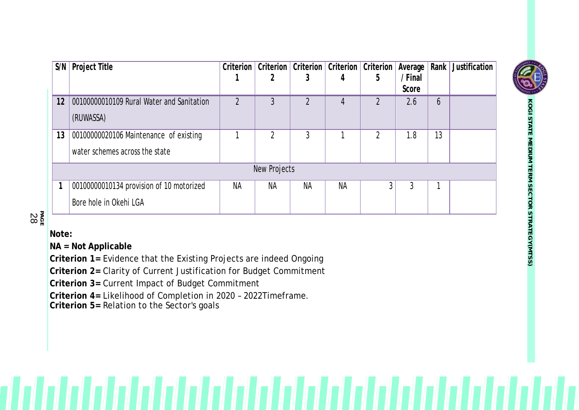|    | $S/N$ Project Title                       |           | Criterion   Criterion   Criterion   Criterion   Criterion   Average |           |           |   |         | Rank         | Justification |
|----|-------------------------------------------|-----------|---------------------------------------------------------------------|-----------|-----------|---|---------|--------------|---------------|
|    |                                           |           |                                                                     |           |           | 5 | / Final |              |               |
|    |                                           |           |                                                                     |           |           |   | Score   |              |               |
| 12 | 00100000010109 Rural Water and Sanitation |           |                                                                     |           |           |   | 2.6     | <sub>b</sub> |               |
|    | (RUWASSA)                                 |           |                                                                     |           |           |   |         |              |               |
|    |                                           |           |                                                                     |           |           |   |         |              |               |
| 13 | 00100000020106 Maintenance of existing    |           |                                                                     |           |           |   | 1.8     | 13           |               |
|    | water schemes across the state            |           |                                                                     |           |           |   |         |              |               |
|    |                                           |           |                                                                     |           |           |   |         |              |               |
|    | New Projects                              |           |                                                                     |           |           |   |         |              |               |
|    | 00100000010134 provision of 10 motorized  | <b>NA</b> | <b>NA</b>                                                           | <b>NA</b> | <b>NA</b> |   |         |              |               |
|    | Bore hole in Okehi LGA                    |           |                                                                     |           |           |   |         |              |               |

চ<br>চ **GE** 2 8

**Note:**

**NA = Not Applicable**

**Criterion 1=** Evidence that the Existing Projects are indeed Ongoing

**Criterion 2=** Clarity of Current Justification for Budget Commitment

**Criterion 3=** Current Impact of Budget Commitment

**Criterion 4=** Likelihood of Completion in 2020 – 2022Timeframe.

**Criterion 5=** Relation to the Sector's goals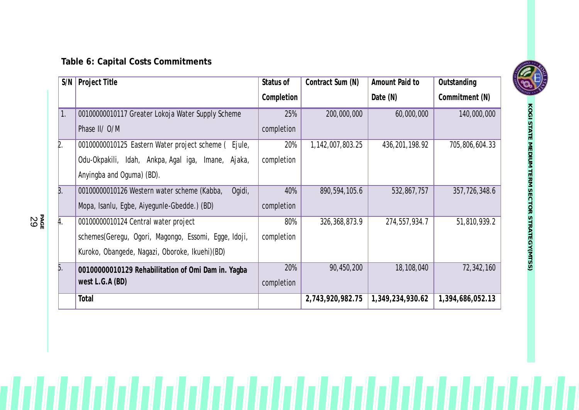## **Table 6: Capital Costs Commitments**

| S/N            | Project Title                                         | Status of  | Contract Sum (N) | Amount Paid to   | Outstanding      |
|----------------|-------------------------------------------------------|------------|------------------|------------------|------------------|
|                |                                                       | Completion |                  | Date (N)         | Commitment (N)   |
| 1.             | 00100000010117 Greater Lokoja Water Supply Scheme     | 25%        | 200,000,000      | 60,000,000       | 140,000,000      |
|                | Phase II/ O/M                                         | completion |                  |                  |                  |
| $\mathsf{R}$ . | 00100000010125 Eastern Water project scheme (Ejule,   | 20%        | 1,142,007,803.25 | 436, 201, 198.92 | 705,806,604.33   |
|                | Odu-Okpakili, Idah, Ankpa, Agal iga, Imane, Ajaka,    | completion |                  |                  |                  |
|                | Anyingba and Oguma) (BD).                             |            |                  |                  |                  |
| Β.             | Ogidi,<br>00100000010126 Western water scheme (Kabba, | 40%        | 890,594,105.6    | 532,867,757      | 357,726,348.6    |
|                | Mopa, Isanlu, Egbe, Aiyegunle-Gbedde.) (BD)           | completion |                  |                  |                  |
| A.             | 00100000010124 Central water project                  | 80%        | 326, 368, 873.9  | 274,557,934.7    | 51,810,939.2     |
|                | schemes(Geregu, Ogori, Magongo, Essomi, Egge, Idoji,  | completion |                  |                  |                  |
|                | Kuroko, Obangede, Nagazi, Oboroke, Ikuehi)(BD)        |            |                  |                  |                  |
| þ.             | 00100000010129 Rehabilitation of Omi Dam in. Yagba-   | 20%        | 90,450,200       | 18,108,040       | 72,342,160       |
|                | west $L.G.A(BD)$                                      | completion |                  |                  |                  |
|                | Total                                                 |            | 2,743,920,982.75 | 1,349,234,930.62 | 1,394,686,052.13 |



চ<br>চ ន្ត<br>ទី<br>ក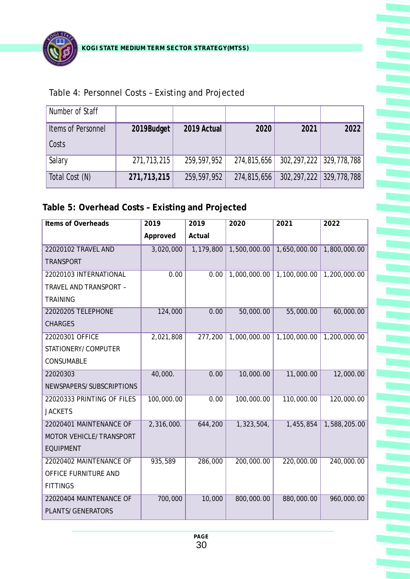

#### Table 4: Personnel Costs – Existing and Projected

| Number of Staff    |             |             |             |      |                         |
|--------------------|-------------|-------------|-------------|------|-------------------------|
| Items of Personnel | 2019Budget  | 2019 Actual | 2020        | 2021 | 2022                    |
| Costs              |             |             |             |      |                         |
| Salary             | 271,713,215 | 259,597,952 | 274,815,656 |      | 302,297,222 329,778,788 |
| Total Cost (N)     | 271,713,215 | 259,597,952 | 274,815,656 |      | 302,297,222 329,778,788 |

#### **Table 5: Overhead Costs – Existing and Projected**

| Items of Overheads         | 2019       | 2019      | 2020         | 2021         | 2022         |
|----------------------------|------------|-----------|--------------|--------------|--------------|
|                            | Approved   | Actual    |              |              |              |
| 22020102 TRAVEL AND        | 3,020,000  | 1,179,800 | 1,500,000.00 | 1,650,000.00 | 1,800,000.00 |
| <b>TRANSPORT</b>           |            |           |              |              |              |
| 22020103 INTERNATIONAL     | 0.00       | 0.00      | 1,000,000.00 | 1,100,000.00 | 1,200,000.00 |
| TRAVEL AND TRANSPORT -     |            |           |              |              |              |
| <b>TRAINING</b>            |            |           |              |              |              |
| 22020205 TELEPHONE         | 124,000    | 0.00      | 50,000.00    | 55,000.00    | 60,000.00    |
| <b>CHARGES</b>             |            |           |              |              |              |
| 22020301 OFFICE            | 2,021,808  | 277,200   | 1,000,000.00 | 1,100,000.00 | 1,200,000.00 |
| STATIONERY/COMPUTER        |            |           |              |              |              |
| CONSUMABLE                 |            |           |              |              |              |
| 22020303                   | 40,000.    | 0.00      | 10,000.00    | 11,000.00    | 12,000.00    |
| NEWSPAPERS/SUBSCRIPTIONS   |            |           |              |              |              |
| 22020333 PRINTING OF FILES | 100,000.00 | 0.00      | 100,000.00   | 110,000.00   | 120,000.00   |
| <b>JACKETS</b>             |            |           |              |              |              |
| 22020401 MAINTENANCE OF    | 2,316,000. | 644,200   | 1,323,504,   | 1,455,854    | 1,588,205.00 |
| MOTOR VEHICLE/TRANSPORT    |            |           |              |              |              |
| <b>EQUIPMENT</b>           |            |           |              |              |              |
| 22020402 MAINTENANCE OF    | 935,589    | 286,000   | 200,000.00   | 220,000.00   | 240,000.00   |
| OFFICE FURNITURE AND       |            |           |              |              |              |
| <b>FITTINGS</b>            |            |           |              |              |              |
| 22020404 MAINTENANCE OF    | 700,000    | 10,000    | 800,000.00   | 880,000.00   | 960,000.00   |
| PLANTS/GENERATORS          |            |           |              |              |              |
|                            |            |           |              |              |              |

**PAGE**  30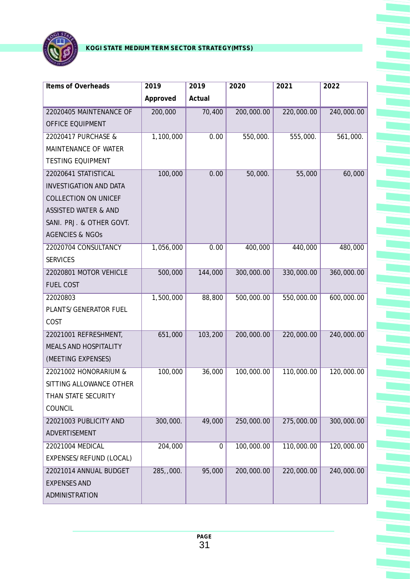

| Items of Overheads            | 2019      | 2019             | 2020       | 2021       | 2022       |
|-------------------------------|-----------|------------------|------------|------------|------------|
|                               | Approved  | Actual           |            |            |            |
| 22020405 MAINTENANCE OF       | 200,000   | 70,400           | 200,000.00 | 220,000.00 | 240,000.00 |
| OFFICE EQUIPMENT              |           |                  |            |            |            |
| 22020417 PURCHASE &           | 1,100,000 | 0.00             | 550,000.   | 555,000.   | 561,000.   |
| MAINTENANCE OF WATER          |           |                  |            |            |            |
| <b>TESTING EQUIPMENT</b>      |           |                  |            |            |            |
| 22020641 STATISTICAL          | 100,000   | 0.00             | 50,000.    | 55,000     | 60,000     |
| <b>INVESTIGATION AND DATA</b> |           |                  |            |            |            |
| <b>COLLECTION ON UNICEF</b>   |           |                  |            |            |            |
| ASSISTED WATER & AND          |           |                  |            |            |            |
| SANI. PRJ. & OTHER GOVT.      |           |                  |            |            |            |
| <b>AGENCIES &amp; NGOS</b>    |           |                  |            |            |            |
| 22020704 CONSULTANCY          | 1,056,000 | 0.00             | 400,000    | 440,000    | 480,000    |
| <b>SERVICES</b>               |           |                  |            |            |            |
| 22020801 MOTOR VEHICLE        | 500,000   | 144,000          | 300,000.00 | 330,000.00 | 360,000.00 |
| <b>FUEL COST</b>              |           |                  |            |            |            |
| 22020803                      | 1,500,000 | 88,800           | 500,000.00 | 550,000.00 | 600,000.00 |
| PLANTS/GENERATOR FUEL         |           |                  |            |            |            |
| COST                          |           |                  |            |            |            |
| 22021001 REFRESHMENT,         | 651,000   | 103,200          | 200,000.00 | 220,000.00 | 240,000.00 |
| MEALS AND HOSPITALITY         |           |                  |            |            |            |
| (MEETING EXPENSES)            |           |                  |            |            |            |
| 22021002 HONORARIUM &         | 100,000   | 36,000           | 100,000.00 | 110,000.00 | 120,000.00 |
| SITTING ALLOWANCE OTHER       |           |                  |            |            |            |
| THAN STATE SECURITY           |           |                  |            |            |            |
| COUNCIL                       |           |                  |            |            |            |
| 22021003 PUBLICITY AND        | 300,000.  | 49,000           | 250,000.00 | 275,000.00 | 300,000.00 |
| ADVERTISEMENT                 |           |                  |            |            |            |
| 22021004 MEDICAL              | 204,000   | $\boldsymbol{0}$ | 100,000.00 | 110,000.00 | 120,000.00 |
| EXPENSES/REFUND (LOCAL)       |           |                  |            |            |            |
| 22021014 ANNUAL BUDGET        | 285,,000. | 95,000           | 200,000.00 | 220,000.00 | 240,000.00 |
| <b>EXPENSES AND</b>           |           |                  |            |            |            |
| ADMINISTRATION                |           |                  |            |            |            |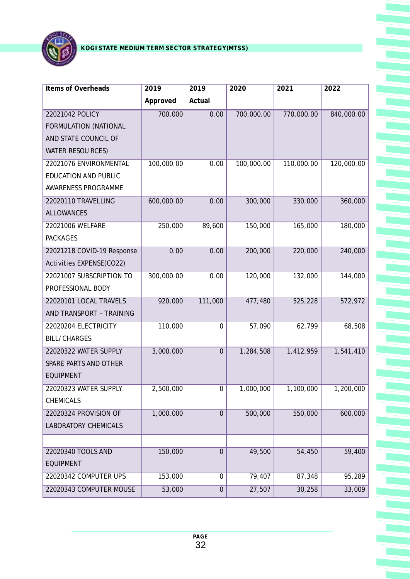

| Items of Overheads          | 2019       | 2019             | 2020       | 2021       | 2022       |
|-----------------------------|------------|------------------|------------|------------|------------|
|                             | Approved   | Actual           |            |            |            |
| 22021042 POLICY             | 700,000    | 0.00             | 700,000.00 | 770,000.00 | 840,000.00 |
| FORMULATION (NATIONAL       |            |                  |            |            |            |
| AND STATE COUNCIL OF        |            |                  |            |            |            |
| <b>WATER RESOU RCES)</b>    |            |                  |            |            |            |
| 22021076 ENVIRONMENTAL      | 100,000.00 | 0.00             | 100,000.00 | 110,000.00 | 120,000.00 |
| <b>EDUCATION AND PUBLIC</b> |            |                  |            |            |            |
| AWARENESS PROGRAMME         |            |                  |            |            |            |
| 22020110 TRAVELLING         | 600,000.00 | 0.00             | 300,000    | 330,000    | 360,000    |
| <b>ALLOWANCES</b>           |            |                  |            |            |            |
| 22021006 WELFARE            | 250,000    | 89,600           | 150,000    | 165,000    | 180,000    |
| <b>PACKAGES</b>             |            |                  |            |            |            |
| 22021218 COVID-19 Response  | 0.00       | 0.00             | 200,000    | 220,000    | 240,000    |
| Activities EXPENSE(CO22)    |            |                  |            |            |            |
| 22021007 SUBSCRIPTION TO    | 300,000.00 | 0.00             | 120,000    | 132,000    | 144,000    |
| PROFESSIONAL BODY           |            |                  |            |            |            |
| 22020101 LOCAL TRAVELS      | 920,000    | 111,000          | 477,480    | 525,228    | 572,972    |
| AND TRANSPORT - TRAINING    |            |                  |            |            |            |
| 22020204 ELECTRICITY        | 110,000    | $\overline{0}$   | 57,090     | 62,799     | 68,508     |
| <b>BILL/CHARGES</b>         |            |                  |            |            |            |
| 22020322 WATER SUPPLY       | 3,000,000  | $\overline{0}$   | 1,284,508  | 1,412,959  | 1,541,410  |
| SPARE PARTS AND OTHER       |            |                  |            |            |            |
| <b>EQUIPMENT</b>            |            |                  |            |            |            |
| 22020323 WATER SUPPLY       | 2,500,000  | $\mathbf 0$      | 1,000,000  | 1,100,000  | 1,200,000  |
| CHEMICALS                   |            |                  |            |            |            |
| 22020324 PROVISION OF       | 1,000,000  | $\overline{0}$   | 500,000    | 550,000    | 600,000    |
| <b>LABORATORY CHEMICALS</b> |            |                  |            |            |            |
|                             |            |                  |            |            |            |
| 22020340 TOOLS AND          | 150,000    | $\mathbf 0$      | 49,500     | 54,450     | 59,400     |
| <b>EQUIPMENT</b>            |            |                  |            |            |            |
| 22020342 COMPUTER UPS       | 153,000    | 0                | 79,407     | 87,348     | 95,289     |
| 22020343 COMPUTER MOUSE     | 53,000     | $\boldsymbol{0}$ | 27,507     | 30,258     | 33,009     |
|                             |            |                  |            |            |            |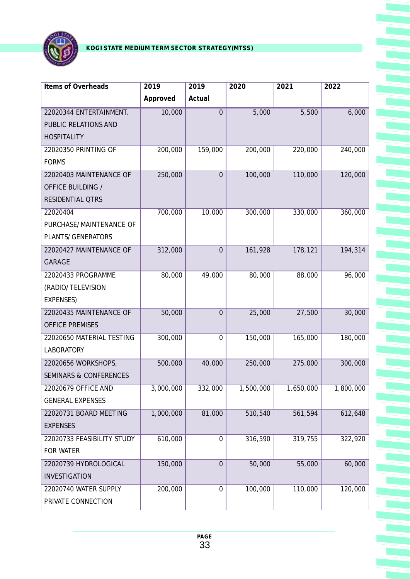

| Items of Overheads                | 2019      | 2019           | 2020      | 2021      | 2022      |
|-----------------------------------|-----------|----------------|-----------|-----------|-----------|
|                                   | Approved  | Actual         |           |           |           |
| 22020344 ENTERTAINMENT,           | 10,000    | $\overline{0}$ | 5,000     | 5,500     | 6,000     |
| PUBLIC RELATIONS AND              |           |                |           |           |           |
| <b>HOSPITALITY</b>                |           |                |           |           |           |
| 22020350 PRINTING OF              | 200,000   | 159,000        | 200,000   | 220,000   | 240,000   |
| <b>FORMS</b>                      |           |                |           |           |           |
| 22020403 MAINTENANCE OF           | 250,000   | $\overline{0}$ | 100,000   | 110,000   | 120,000   |
| OFFICE BUILDING /                 |           |                |           |           |           |
| RESIDENTIAL QTRS                  |           |                |           |           |           |
| 22020404                          | 700,000   | 10,000         | 300,000   | 330,000   | 360,000   |
| PURCHASE/MAINTENANCE OF           |           |                |           |           |           |
| PLANTS/GENERATORS                 |           |                |           |           |           |
| 22020427 MAINTENANCE OF           | 312,000   | $\overline{0}$ | 161,928   | 178,121   | 194,314   |
| <b>GARAGE</b>                     |           |                |           |           |           |
| 22020433 PROGRAMME                | 80,000    | 49,000         | 80,000    | 88,000    | 96,000    |
| (RADIO/TELEVISION                 |           |                |           |           |           |
| EXPENSES)                         |           |                |           |           |           |
| 22020435 MAINTENANCE OF           | 50,000    | $\overline{0}$ | 25,000    | 27,500    | 30,000    |
| <b>OFFICE PREMISES</b>            |           |                |           |           |           |
| 22020650 MATERIAL TESTING         | 300,000   | 0              | 150,000   | 165,000   | 180,000   |
| <b>LABORATORY</b>                 |           |                |           |           |           |
| 22020656 WORKSHOPS,               | 500,000   | 40,000         | 250,000   | 275,000   | 300,000   |
| <b>SEMINARS &amp; CONFERENCES</b> |           |                |           |           |           |
| 22020679 OFFICE AND               | 3,000,000 | 332,000        | 1,500,000 | 1,650,000 | 1,800,000 |
| <b>GENERAL EXPENSES</b>           |           |                |           |           |           |
| 22020731 BOARD MEETING            | 1,000,000 | 81,000         | 510,540   | 561,594   | 612,648   |
| <b>EXPENSES</b>                   |           |                |           |           |           |
| 22020733 FEASIBILITY STUDY        | 610,000   | 0              | 316,590   | 319,755   | 322, 920  |
| FOR WATER                         |           |                |           |           |           |
| 22020739 HYDROLOGICAL             | 150,000   | $\overline{0}$ | 50,000    | 55,000    | 60,000    |
| INVESTIGATION                     |           |                |           |           |           |
| 22020740 WATER SUPPLY             | 200,000   | 0              | 100,000   | 110,000   | 120,000   |
| PRIVATE CONNECTION                |           |                |           |           |           |
|                                   |           |                |           |           |           |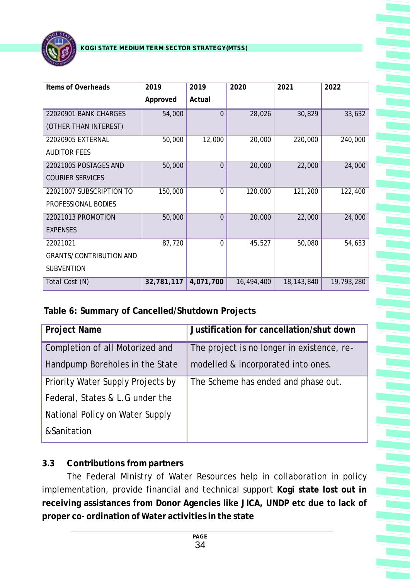

| Items of Overheads             | 2019       | 2019           | 2020       | 2021         | 2022       |
|--------------------------------|------------|----------------|------------|--------------|------------|
|                                | Approved   | Actual         |            |              |            |
| 22020901 BANK CHARGES          | 54,000     | $\overline{0}$ | 28,026     | 30,829       | 33,632     |
| (OTHER THAN INTEREST)          |            |                |            |              |            |
| 22020905 EXTERNAL              | 50,000     | 12,000         | 20,000     | 220,000      | 240,000    |
| <b>AUDITOR FEES</b>            |            |                |            |              |            |
| 22021005 POSTAGES AND          | 50,000     | $\overline{0}$ | 20,000     | 22,000       | 24,000     |
| <b>COURIER SERVICES</b>        |            |                |            |              |            |
| 22021007 SUBSCRIPTION TO       | 150,000    | $\mathbf 0$    | 120,000    | 121,200      | 122,400    |
| PROFESSIONAL BODIES            |            |                |            |              |            |
| 22021013 PROMOTION             | 50,000     | $\overline{0}$ | 20,000     | 22,000       | 24,000     |
| <b>EXPENSES</b>                |            |                |            |              |            |
| 22021021                       | 87,720     | $\Omega$       | 45,527     | 50,080       | 54,633     |
| <b>GRANTS/CONTRIBUTION AND</b> |            |                |            |              |            |
| <b>SUBVENTION</b>              |            |                |            |              |            |
| Total Cost (N)                 | 32,781,117 | 4,071,700      | 16,494,400 | 18, 143, 840 | 19,793,280 |

**Table 6: Summary of Cancelled/Shutdown Projects**

| Project Name                      | Justification for cancellation/shut down   |
|-----------------------------------|--------------------------------------------|
| Completion of all Motorized and   | The project is no longer in existence, re- |
| Handpump Boreholes in the State   | modelled & incorporated into ones.         |
| Priority Water Supply Projects by | The Scheme has ended and phase out.        |
| Federal, States & L.G under the   |                                            |
| National Policy on Water Supply   |                                            |
| &Sanitation                       |                                            |

### **3.3 Contributions from partners**

The Federal Ministry of Water Resources help in collaboration in policy implementation, provide financial and technical support **Kogi state lost out in receiving assistances from Donor Agencies like JICA, UNDP etc due to lack of proper co- ordination of Water activities in the state**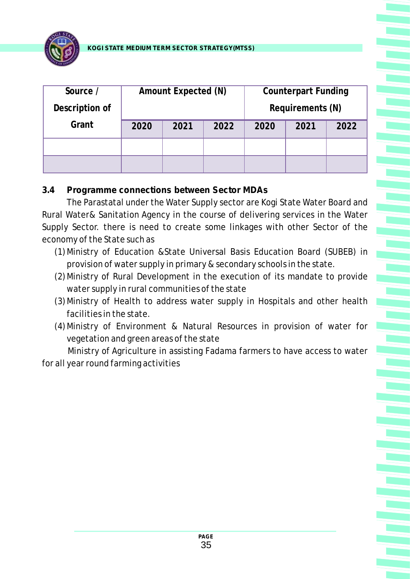

| Source /       |      | Amount Expected (N) |      |      | <b>Counterpart Funding</b> |      |
|----------------|------|---------------------|------|------|----------------------------|------|
| Description of |      |                     |      |      | Requirements (N)           |      |
| Grant          | 2020 | 2021                | 2022 | 2020 | 2021                       | 2022 |
|                |      |                     |      |      |                            |      |
|                |      |                     |      |      |                            |      |

#### **3.4 Programme connections between Sector MDAs**

The Parastatal under the Water Supply sector are Kogi State Water Board and Rural Water& Sanitation Agency in the course of delivering services in the Water Supply Sector. there is need to create some linkages with other Sector of the economy of the State such as

- (1)Ministry of Education &State Universal Basis Education Board (SUBEB) in provision of water supply in primary & secondary schools in the state.
- (2)Ministry of Rural Development in the execution of its mandate to provide water supply in rural communities of the state
- (3)Ministry of Health to address water supply in Hospitals and other health facilities in the state.
- (4)Ministry of Environment & Natural Resources in provision of water for vegetation and green areas of the state

Ministry of Agriculture in assisting Fadama farmers to have access to water for all year round farming activities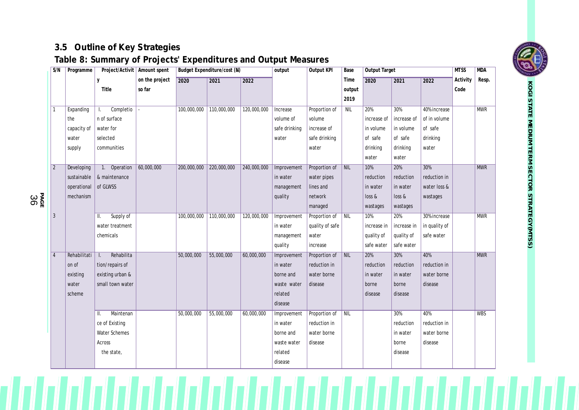## **3.5 Outline of Key Strategies**

## **Table 8: Summary of Projects' Expenditures and Output Measures**

| S/N            | Programme    |                              | Project/Activit   Amount spent |             | Budget Expenditure/cost (N) |             | output        | Output KPI      | Base                      | Output Target |             |               | <b>MTSS</b> | <b>MDA</b> |
|----------------|--------------|------------------------------|--------------------------------|-------------|-----------------------------|-------------|---------------|-----------------|---------------------------|---------------|-------------|---------------|-------------|------------|
|                |              | y                            | on the project                 | 2020        | 2021                        | 2022        |               |                 | Time                      | 2020          | 2021        | 2022          | Activity    | Resp.      |
|                |              | Title                        | so far                         |             |                             |             |               |                 | output                    |               |             |               | Code        |            |
|                |              |                              |                                |             |                             |             |               |                 | 2019                      |               |             |               |             |            |
| $\mathbf{1}$   | Expanding    | Completio<br>L.              |                                | 100,000,000 | 110,000,000                 | 120,000,000 | Increase      | Proportion of   | <b>NIL</b>                | 20%           | 30%         | 40% increase  |             | <b>MWR</b> |
|                | the          | n of surface                 |                                |             |                             |             | volume of     | volume          |                           | increase of   | increase of | of in volume  |             |            |
|                | capacity of  | water for                    |                                |             |                             |             | safe drinking | increase of     |                           | in volume     | in volume   | of safe       |             |            |
|                | water        | selected                     |                                |             |                             |             | water         | safe drinking   |                           | of safe       | of safe     | drinking      |             |            |
|                | supply       | communities                  |                                |             |                             |             |               | water           |                           | drinking      | drinking    | water         |             |            |
|                |              |                              |                                |             |                             |             |               |                 |                           | water         | water       |               |             |            |
| $\overline{2}$ | Developing   | 1. Operation                 | 60,000,000                     | 200,000,000 | 220,000,000                 | 240,000,000 | Improvement   | Proportion of   | $\overline{\mathsf{NIL}}$ | 10%           | 20%         | 30%           |             | <b>MWR</b> |
|                | sustainable  | & maintenance                |                                |             |                             |             | in water      | water pipes     |                           | reduction     | reduction   | reduction in  |             |            |
|                | operational  | of GLWSS                     |                                |             |                             |             | management    | lines and       |                           | in water      | in water    | water loss &  |             |            |
|                | mechanism    |                              |                                |             |                             |             | quality       | network         |                           | loss &        | loss &      | wastages      |             |            |
|                |              |                              |                                |             |                             |             |               | managed         |                           | wastages      | wastages    |               |             |            |
| 3              |              | Supply of<br>Ш.              |                                | 100,000,000 | 110,000,000                 | 120,000,000 | Improvement   | Proportion of   | NIL                       | 10%           | 20%         | 30% increase  |             | <b>MWR</b> |
|                |              | water treatment              |                                |             |                             |             | in water      | quality of safe |                           | increase in   | increase in | in quality of |             |            |
|                |              | chemicals                    |                                |             |                             |             | management    | water           |                           | quality of    | quality of  | safe water    |             |            |
|                |              |                              |                                |             |                             |             | quality       | increase        |                           | safe water    | safe water  |               |             |            |
| $\overline{4}$ | Rehabilitati | Rehabilita<br>L.             |                                | 50,000,000  | 55,000,000                  | 60,000,000  | Improvement   | Proportion of   | NIL                       | 20%           | 30%         | 40%           |             | <b>MWR</b> |
|                | on of        | tion/repairs of              |                                |             |                             |             | in water      | reduction in    |                           | reduction     | reduction   | reduction in  |             |            |
|                | existing     | existing urban &             |                                |             |                             |             | borne and     | water borne     |                           | in water      | in water    | water borne   |             |            |
|                | water        | small town water             |                                |             |                             |             | waste water   | disease         |                           | borne         | borne       | disease       |             |            |
|                | scheme       |                              |                                |             |                             |             | related       |                 |                           | disease       | disease     |               |             |            |
|                |              |                              |                                |             |                             |             | disease       |                 |                           |               |             |               |             |            |
|                |              | Maintenan<br>$\mathbf{II}$ . |                                | 50,000,000  | 55,000,000                  | 60,000,000  | Improvement   | Proportion of   | <b>NIL</b>                |               | 30%         | 40%           |             | <b>WBS</b> |
|                |              | ce of Existing               |                                |             |                             |             | in water      | reduction in    |                           |               | reduction   | reduction in  |             |            |
|                |              | Water Schemes                |                                |             |                             |             | borne and     | water borne     |                           |               | in water    | water borne   |             |            |
|                |              | Across                       |                                |             |                             |             | waste water   | disease         |                           |               | borne       | disease       |             |            |
|                |              | the state,                   |                                |             |                             |             | related       |                 |                           |               | disease     |               |             |            |
|                |              |                              |                                |             |                             |             | disease       |                 |                           |               |             |               |             |            |



**K O GI**

**PA** မ<br>၁ နီ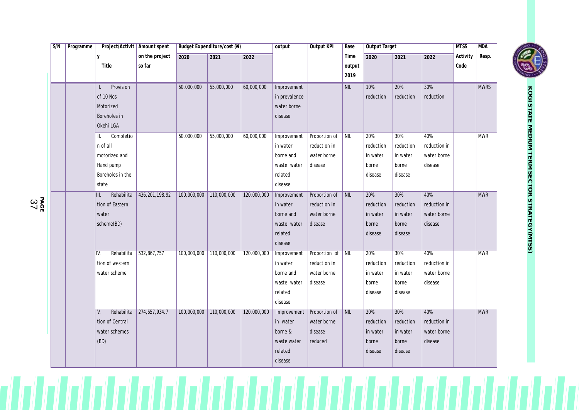| S/N | Programme | Project/Activit   Amount spent                                                         |                          |             | Budget Expenditure/cost (N) |             | output                                                                    | Output KPI                                                  | Base                   | Output Target                                    |                                                  |                                               | <b>MTSS</b>      | <b>MDA</b>  |
|-----|-----------|----------------------------------------------------------------------------------------|--------------------------|-------------|-----------------------------|-------------|---------------------------------------------------------------------------|-------------------------------------------------------------|------------------------|--------------------------------------------------|--------------------------------------------------|-----------------------------------------------|------------------|-------------|
|     |           | y<br>Title                                                                             | on the project<br>so far | 2020        | 2021                        | 2022        |                                                                           |                                                             | Time<br>output<br>2019 | 2020                                             | 2021                                             | 2022                                          | Activity<br>Code | Resp.       |
|     |           | Provision<br>$\mathbf{L}$<br>of 10 Nos<br>Motorized<br>Boreholes in<br>Okehi LGA       |                          | 50,000,000  | 55,000,000                  | 60,000,000  | Improvement<br>in prevalence<br>water borne<br>disease                    |                                                             | NIL                    | 10%<br>reduction                                 | 20%<br>reduction                                 | 30%<br>reduction                              |                  | <b>MWRS</b> |
|     |           | Completio<br>Ш.<br>n of all<br>motorized and<br>Hand pump<br>Boreholes in the<br>state |                          | 50,000,000  | 55,000,000                  | 60,000,000  | Improvement<br>in water<br>borne and<br>waste water<br>related<br>disease | Proportion of<br>reduction in<br>water borne<br>disease     | $\sqrt{\text{NIL}}$    | 20%<br>reduction<br>in water<br>borne<br>disease | 30%<br>reduction<br>in water<br>borne<br>disease | 40%<br>reduction in<br>water borne<br>disease |                  | <b>MWR</b>  |
|     |           | Rehabilita<br>Ш.<br>tion of Eastern<br>water<br>scheme(BD)                             | 436, 201, 198.92         | 100,000,000 | 110,000,000                 | 120,000,000 | Improvement<br>in water<br>borne and<br>waste water<br>related<br>disease | Proportion of<br>reduction in<br>water borne<br>disease     | $\sqrt{\text{NIL}}$    | 20%<br>reduction<br>in water<br>borne<br>disease | 30%<br>reduction<br>in water<br>borne<br>disease | 40%<br>reduction in<br>water borne<br>disease |                  | <b>MWR</b>  |
|     |           | Rehabilita<br>IV.<br>tion of western<br>water scheme                                   | 532,867,757              | 100,000,000 | 110,000,000                 | 120,000,000 | Improvement<br>in water<br>borne and<br>waste water<br>related<br>disease | Proportion of NIL<br>reduction in<br>water borne<br>disease |                        | 20%<br>reduction<br>in water<br>borne<br>disease | 30%<br>reduction<br>in water<br>borne<br>disease | 40%<br>reduction in<br>water borne<br>disease |                  | <b>MWR</b>  |
|     |           | Rehabilita<br>V.<br>tion of Central<br>water schemes<br>(BD)                           | 274,557,934.7            | 100,000,000 | 110,000,000                 | 120,000,000 | Improvement<br>in water<br>borne &<br>waste water<br>related<br>disease   | Proportion of<br>water borne<br>disease<br>reduced          | $\vert$ NIL            | 20%<br>reduction<br>in water<br>borne<br>disease | 30%<br>reduction<br>in water<br>borne<br>disease | 40%<br>reduction in<br>water borne<br>disease |                  | <b>MWR</b>  |



**PA GE** 3 7

 $\mathcal{L}$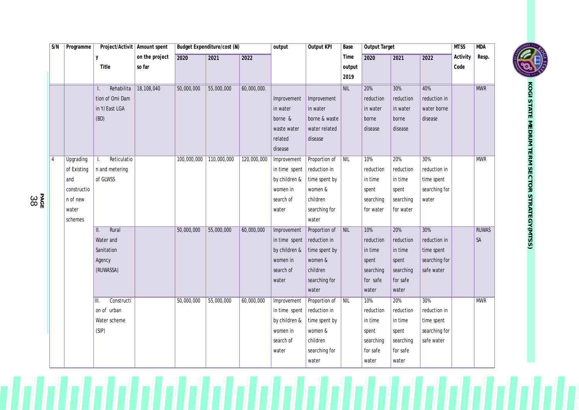| S/N            | Programme   | Project/Activit   Amount spent |                |             | Budget Expenditure/cost (N) |             | output        | Output KPI    | Base       | Output Target |           |               | <b>MTSS</b> | <b>MDA</b>   |
|----------------|-------------|--------------------------------|----------------|-------------|-----------------------------|-------------|---------------|---------------|------------|---------------|-----------|---------------|-------------|--------------|
|                |             | y                              | on the project | 2020        | 2021                        | 2022        |               |               | Time       | 2020          | 2021      | 2022          | Activity    | Resp.        |
|                |             | Title                          | so far         |             |                             |             |               |               | output     |               |           |               | Code        |              |
|                |             |                                |                |             |                             |             |               |               | 2019       |               |           |               |             |              |
|                |             | Rehabilita                     | 18,108,040     | 50,000,000  | 55,000,000                  | 60,000,000. |               |               | NIL        | 20%           | 30%       | 40%           |             | <b>MWR</b>   |
|                |             | tion of Omi Dam                |                |             |                             |             | Improvement   | Improvement   |            | reduction     | reduction | reduction in  |             |              |
|                |             | in Y/East LGA                  |                |             |                             |             | in water      | in water      |            | in water      | in water  | water borne   |             |              |
|                |             | (BD)                           |                |             |                             |             | borne &       | borne & waste |            | borne         | borne     | disease       |             |              |
|                |             |                                |                |             |                             |             | waste water   | water related |            | disease       | disease   |               |             |              |
|                |             |                                |                |             |                             |             | related       | disease       |            |               |           |               |             |              |
|                |             |                                |                |             |                             |             | disease       |               |            |               |           |               |             |              |
| $\overline{4}$ | Upgrading   | Reticulatio<br>Τ.              |                | 100,000,000 | 110,000,000                 | 120,000,000 | Improvement   | Proportion of | <b>NIL</b> | 10%           | 20%       | 30%           |             | <b>MWR</b>   |
|                | of Existing | n and metering                 |                |             |                             |             | in time spent | reduction in  |            | reduction     | reduction | reduction in  |             |              |
|                | and         | of GLWSS                       |                |             |                             |             | by children & | time spent by |            | in time       | in time   | time spent    |             |              |
|                | constructio |                                |                |             |                             |             | women in      | women &       |            | spent         | spent     | searching for |             |              |
|                | n of new    |                                |                |             |                             |             | search of     | children      |            | searching     | searching | water         |             |              |
|                | water       |                                |                |             |                             |             | water         | searching for |            | for water     | for water |               |             |              |
|                | schemes     |                                |                |             |                             |             |               | water         |            |               |           |               |             |              |
|                |             | Rural<br>Ш.                    |                | 50,000,000  | 55,000,000                  | 60,000,000  | Improvement   | Proportion of | <b>NIL</b> | 10%           | 20%       | 30%           |             | <b>RUWAS</b> |
|                |             | Water and                      |                |             |                             |             | in time spent | reduction in  |            | reduction     | reduction | reduction in  |             | SA           |
|                |             | Sanitation                     |                |             |                             |             | by children & | time spent by |            | in time       | in time   | time spent    |             |              |
|                |             | Agency                         |                |             |                             |             | women in      | women &       |            | spent         | spent     | searching for |             |              |
|                |             | (RUWASSA)                      |                |             |                             |             | search of     | children      |            | searching     | searching | safe water    |             |              |
|                |             |                                |                |             |                             |             | water         | searching for |            | for safe      | for safe  |               |             |              |
|                |             |                                |                |             |                             |             |               | water         |            | water         | water     |               |             |              |
|                |             | Constructi<br>Ⅲ.               |                | 50,000,000  | 55,000,000                  | 60,000,000  | Improvement   | Proportion of | NIL        | 10%           | 20%       | 30%           |             | <b>MWR</b>   |
|                |             | on of urban                    |                |             |                             |             | in time spent | reduction in  |            | reduction     | reduction | reduction in  |             |              |
|                |             | Water scheme                   |                |             |                             |             | by children & | time spent by |            | in time       | in time   | time spent    |             |              |
|                |             | (SIP)                          |                |             |                             |             | women in      | women &       |            | spent         | spent     | searching for |             |              |
|                |             |                                |                |             |                             |             | search of     | children      |            | searching     | searching | safe water    |             |              |
|                |             |                                |                |             |                             |             | water         | searching for |            | for safe      | for safe  |               |             |              |
|                |             |                                |                |             |                             |             |               | water         |            | water         | water     |               |             |              |



**PAGE** 38

 $\sqcap'$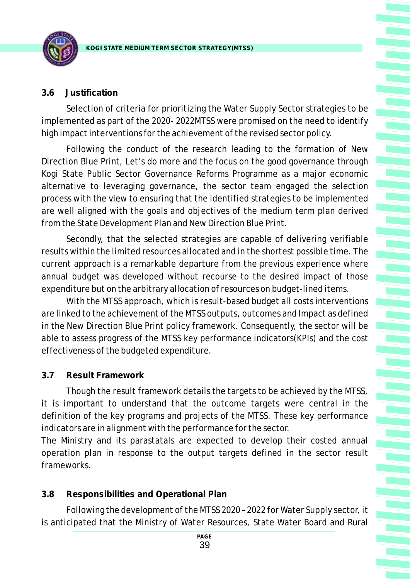

#### **3.6 Justification**

Selection of criteria for prioritizing the Water Supply Sector strategies to be implemented as part of the 2020- 2022MTSS were promised on the need to identify high impact interventions for the achievement of the revised sector policy.

Following the conduct of the research leading to the formation of New Direction Blue Print, Let's do more and the focus on the good governance through Kogi State Public Sector Governance Reforms Programme as a major economic alternative to leveraging governance, the sector team engaged the selection process with the view to ensuring that the identified strategies to be implemented are well aligned with the goals and objectives of the medium term plan derived from the State Development Plan and New Direction Blue Print.

Secondly, that the selected strategies are capable of delivering verifiable results within the limited resources allocated and in the shortest possible time. The current approach is a remarkable departure from the previous experience where annual budget was developed without recourse to the desired impact of those expenditure but on the arbitrary allocation of resources on budget-lined items.

With the MTSS approach, which is result-based budget all costs interventions are linked to the achievement of the MTSS outputs, outcomes and Impact as defined in the New Direction Blue Print policy framework. Consequently, the sector will be able to assess progress of the MTSS key performance indicators(KPIs) and the cost effectiveness of the budgeted expenditure.

#### **3.7 Result Framework**

Though the result framework details the targets to be achieved by the MTSS, it is important to understand that the outcome targets were central in the definition of the key programs and projects of the MTSS. These key performance indicators are in alignment with the performance for the sector.

The Ministry and its parastatals are expected to develop their costed annual operation plan in response to the output targets defined in the sector result frameworks.

#### **3.8 Responsibilities and Operational Plan**

Following the development of the MTSS 2020 – 2022 for Water Supply sector, it is anticipated that the Ministry of Water Resources, State Water Board and Rural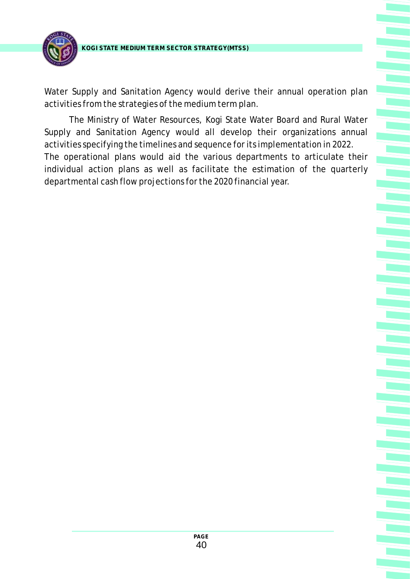

Water Supply and Sanitation Agency would derive their annual operation plan activities from the strategies of the medium term plan.

The Ministry of Water Resources, Kogi State Water Board and Rural Water Supply and Sanitation Agency would all develop their organizations annual activities specifying the timelines and sequence for its implementation in 2022. The operational plans would aid the various departments to articulate their individual action plans as well as facilitate the estimation of the quarterly departmental cash flow projections for the 2020 financial year.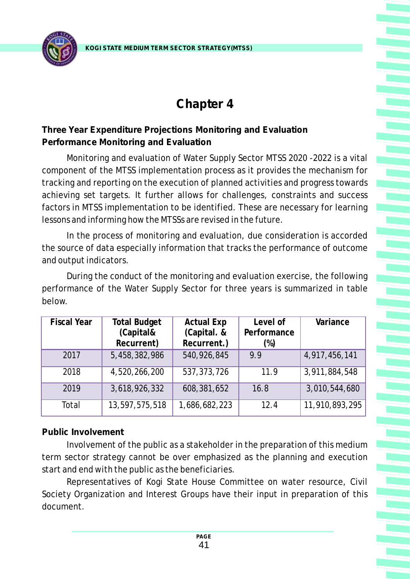

## **Chapter 4**

### **Three Year Expenditure Projections Monitoring and Evaluation Performance Monitoring and Evaluation**

Monitoring and evaluation of Water Supply Sector MTSS 2020 -2022 is a vital component of the MTSS implementation process as it provides the mechanism for tracking and reporting on the execution of planned activities and progress towards achieving set targets. It further allows for challenges, constraints and success factors in MTSS implementation to be identified. These are necessary for learning lessons and informing how the MTSSs are revised in the future.

In the process of monitoring and evaluation, due consideration is accorded the source of data especially information that tracks the performance of outcome and output indicators.

During the conduct of the monitoring and evaluation exercise, the following performance of the Water Supply Sector for three years is summarized in table below.

| <b>Fiscal Year</b> | <b>Total Budget</b> | <b>Actual Exp</b> | Level of    | Variance       |
|--------------------|---------------------|-------------------|-------------|----------------|
|                    | (Capital&           | (Capital. &       | Performance |                |
|                    | Recurrent)          | Recurrent.)       | $(\%)$      |                |
| 2017               | 5,458,382,986       | 540,926,845       | 9.9         | 4,917,456,141  |
| 2018               | 4,520,266,200       | 537, 373, 726     | 11.9        | 3,911,884,548  |
| 2019               | 3,618,926,332       | 608, 381, 652     | 16.8        | 3,010,544,680  |
| Total              | 13,597,575,518      | 1,686,682,223     | 12.4        | 11,910,893,295 |
|                    |                     |                   |             |                |

#### **Public Involvement**

Involvement of the public as a stakeholder in the preparation of this medium term sector strategy cannot be over emphasized as the planning and execution start and end with the public as the beneficiaries.

Representatives of Kogi State House Committee on water resource, Civil Society Organization and Interest Groups have their input in preparation of this document.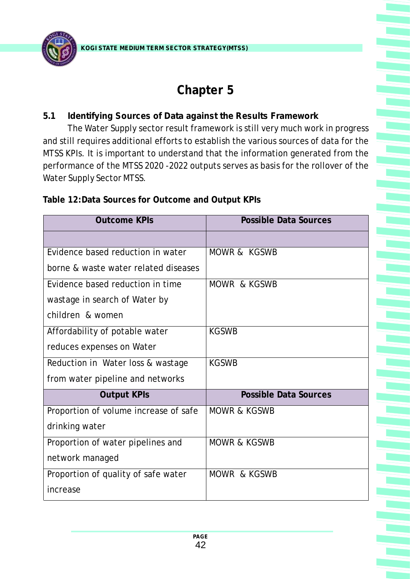

## **Chapter 5**

### **5.1 Identifying Sources of Data against the Results Framework**

The Water Supply sector result framework is still very much work in progress and still requires additional efforts to establish the various sources of data for the MTSS KPIs. It is important to understand that the information generated from the performance of the MTSS 2020 -2022 outputs serves as basis for the rollover of the Water Supply Sector MTSS.

| <b>Outcome KPIs</b>                   | <b>Possible Data Sources</b> |
|---------------------------------------|------------------------------|
|                                       |                              |
| Evidence based reduction in water     | MOWR & KGSWB                 |
| borne & waste water related diseases  |                              |
| Evidence based reduction in time      | MOWR & KGSWB                 |
| wastage in search of Water by         |                              |
| children & women                      |                              |
| Affordability of potable water        | <b>KGSWB</b>                 |
| reduces expenses on Water             |                              |
| Reduction in Water loss & wastage     | <b>KGSWB</b>                 |
| from water pipeline and networks      |                              |
| <b>Output KPIs</b>                    | Possible Data Sources        |
| Proportion of volume increase of safe | <b>MOWR &amp; KGSWB</b>      |
| drinking water                        |                              |
| Proportion of water pipelines and     | <b>MOWR &amp; KGSWB</b>      |
| network managed                       |                              |
| Proportion of quality of safe water   | MOWR & KGSWB                 |
| increase                              |                              |

**Table 12:Data Sources for Outcome and Output KPIs**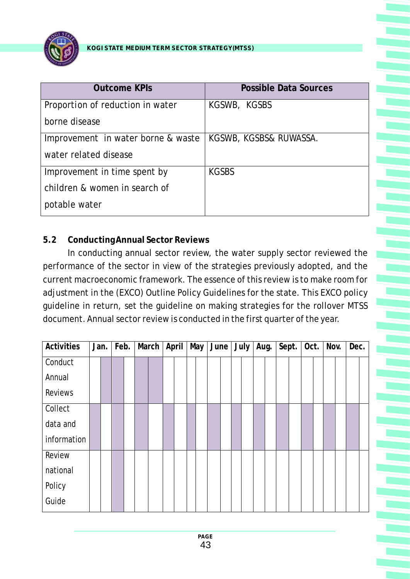

| <b>Outcome KPIs</b>                | <b>Possible Data Sources</b> |
|------------------------------------|------------------------------|
| Proportion of reduction in water   | KGSWB, KGSBS                 |
| borne disease                      |                              |
| Improvement in water borne & waste | KGSWB, KGSBS& RUWASSA.       |
| water related disease              |                              |
| Improvement in time spent by       | KGSBS                        |
| children & women in search of      |                              |
| potable water                      |                              |

#### **5.2 Conducting Annual Sector Reviews**

In conducting annual sector review, the water supply sector reviewed the performance of the sector in view of the strategies previously adopted, and the current macroeconomic framework. The essence of this review is to make room for adjustment in the (EXCO) Outline Policy Guidelines for the state. This EXCO policy guideline in return, set the guideline on making strategies for the rollover MTSS document. Annual sector review is conducted in the first quarter of the year.

| <b>Activities</b> | Jan. |  | Feb. |  | March |  | April |  |  |  | May   June |  | July |  | Aug. |  | Sept. |  | Oct. |  | Nov. |  | Dec. |  |
|-------------------|------|--|------|--|-------|--|-------|--|--|--|------------|--|------|--|------|--|-------|--|------|--|------|--|------|--|
| Conduct           |      |  |      |  |       |  |       |  |  |  |            |  |      |  |      |  |       |  |      |  |      |  |      |  |
| Annual            |      |  |      |  |       |  |       |  |  |  |            |  |      |  |      |  |       |  |      |  |      |  |      |  |
| <b>Reviews</b>    |      |  |      |  |       |  |       |  |  |  |            |  |      |  |      |  |       |  |      |  |      |  |      |  |
| Collect           |      |  |      |  |       |  |       |  |  |  |            |  |      |  |      |  |       |  |      |  |      |  |      |  |
| data and          |      |  |      |  |       |  |       |  |  |  |            |  |      |  |      |  |       |  |      |  |      |  |      |  |
| information       |      |  |      |  |       |  |       |  |  |  |            |  |      |  |      |  |       |  |      |  |      |  |      |  |
| Review            |      |  |      |  |       |  |       |  |  |  |            |  |      |  |      |  |       |  |      |  |      |  |      |  |
| national          |      |  |      |  |       |  |       |  |  |  |            |  |      |  |      |  |       |  |      |  |      |  |      |  |
| Policy            |      |  |      |  |       |  |       |  |  |  |            |  |      |  |      |  |       |  |      |  |      |  |      |  |
| Guide             |      |  |      |  |       |  |       |  |  |  |            |  |      |  |      |  |       |  |      |  |      |  |      |  |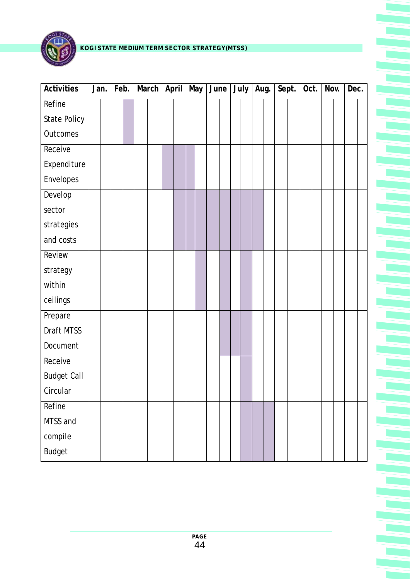

| Activities         | Jan. | Feb. |  | March |  | April |  | May |  | $June$ July |  |  |  | Aug. |  | Sept. |  | Oct. |  | Nov. |  | Dec. |  |
|--------------------|------|------|--|-------|--|-------|--|-----|--|-------------|--|--|--|------|--|-------|--|------|--|------|--|------|--|
| Refine             |      |      |  |       |  |       |  |     |  |             |  |  |  |      |  |       |  |      |  |      |  |      |  |
| State Policy       |      |      |  |       |  |       |  |     |  |             |  |  |  |      |  |       |  |      |  |      |  |      |  |
| Outcomes           |      |      |  |       |  |       |  |     |  |             |  |  |  |      |  |       |  |      |  |      |  |      |  |
| Receive            |      |      |  |       |  |       |  |     |  |             |  |  |  |      |  |       |  |      |  |      |  |      |  |
| Expenditure        |      |      |  |       |  |       |  |     |  |             |  |  |  |      |  |       |  |      |  |      |  |      |  |
| Envelopes          |      |      |  |       |  |       |  |     |  |             |  |  |  |      |  |       |  |      |  |      |  |      |  |
| Develop            |      |      |  |       |  |       |  |     |  |             |  |  |  |      |  |       |  |      |  |      |  |      |  |
| sector             |      |      |  |       |  |       |  |     |  |             |  |  |  |      |  |       |  |      |  |      |  |      |  |
| strategies         |      |      |  |       |  |       |  |     |  |             |  |  |  |      |  |       |  |      |  |      |  |      |  |
| and costs          |      |      |  |       |  |       |  |     |  |             |  |  |  |      |  |       |  |      |  |      |  |      |  |
| Review             |      |      |  |       |  |       |  |     |  |             |  |  |  |      |  |       |  |      |  |      |  |      |  |
| strategy           |      |      |  |       |  |       |  |     |  |             |  |  |  |      |  |       |  |      |  |      |  |      |  |
| within             |      |      |  |       |  |       |  |     |  |             |  |  |  |      |  |       |  |      |  |      |  |      |  |
| ceilings           |      |      |  |       |  |       |  |     |  |             |  |  |  |      |  |       |  |      |  |      |  |      |  |
| Prepare            |      |      |  |       |  |       |  |     |  |             |  |  |  |      |  |       |  |      |  |      |  |      |  |
| Draft MTSS         |      |      |  |       |  |       |  |     |  |             |  |  |  |      |  |       |  |      |  |      |  |      |  |
| Document           |      |      |  |       |  |       |  |     |  |             |  |  |  |      |  |       |  |      |  |      |  |      |  |
| Receive            |      |      |  |       |  |       |  |     |  |             |  |  |  |      |  |       |  |      |  |      |  |      |  |
| <b>Budget Call</b> |      |      |  |       |  |       |  |     |  |             |  |  |  |      |  |       |  |      |  |      |  |      |  |
| Circular           |      |      |  |       |  |       |  |     |  |             |  |  |  |      |  |       |  |      |  |      |  |      |  |
| Refine             |      |      |  |       |  |       |  |     |  |             |  |  |  |      |  |       |  |      |  |      |  |      |  |
| MTSS and           |      |      |  |       |  |       |  |     |  |             |  |  |  |      |  |       |  |      |  |      |  |      |  |
| compile            |      |      |  |       |  |       |  |     |  |             |  |  |  |      |  |       |  |      |  |      |  |      |  |
| <b>Budget</b>      |      |      |  |       |  |       |  |     |  |             |  |  |  |      |  |       |  |      |  |      |  |      |  |